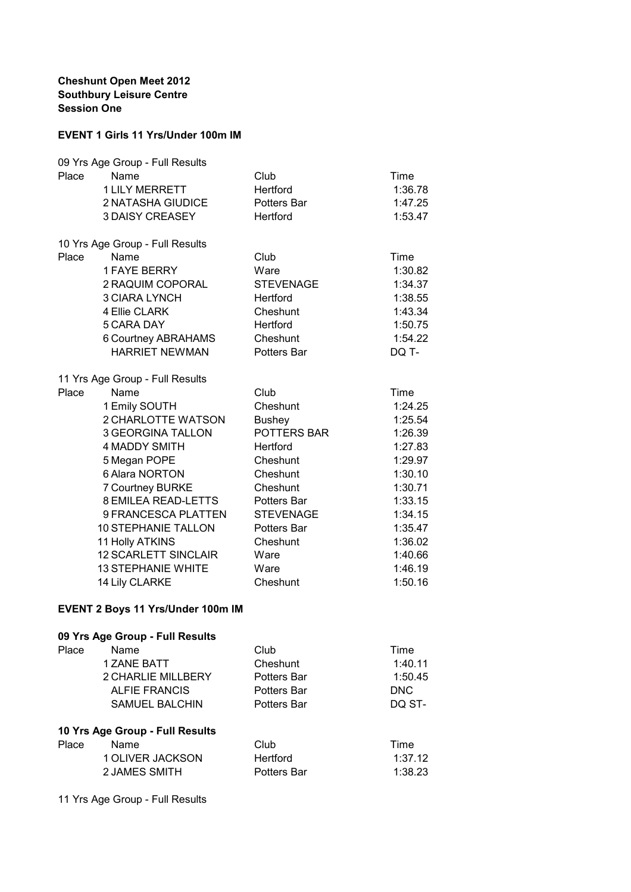## **Cheshunt Open Meet 2012 Southbury Leisure Centre Session One**

## **EVENT 1 Girls 11 Yrs/Under 100m IM**

|       | 09 Yrs Age Group - Full Results   |                  |            |
|-------|-----------------------------------|------------------|------------|
| Place | Name                              | Club             | Time       |
|       | <b>1 LILY MERRETT</b>             | Hertford         | 1:36.78    |
|       | 2 NATASHA GIUDICE                 | Potters Bar      | 1:47.25    |
|       | <b>3 DAISY CREASEY</b>            | Hertford         | 1:53.47    |
|       |                                   |                  |            |
|       | 10 Yrs Age Group - Full Results   |                  |            |
| Place | Name                              | Club             | Time       |
|       | <b>1 FAYE BERRY</b>               | Ware             | 1:30.82    |
|       | 2 RAQUIM COPORAL                  | <b>STEVENAGE</b> | 1:34.37    |
|       | <b>3 CIARA LYNCH</b>              | Hertford         | 1:38.55    |
|       | 4 Ellie CLARK                     | Cheshunt         | 1:43.34    |
|       | 5 CARA DAY                        | Hertford         | 1:50.75    |
|       | 6 Courtney ABRAHAMS               | Cheshunt         | 1:54.22    |
|       | <b>HARRIET NEWMAN</b>             | Potters Bar      | DQ T-      |
|       |                                   |                  |            |
|       | 11 Yrs Age Group - Full Results   |                  |            |
| Place | Name                              | Club             | Time       |
|       | 1 Emily SOUTH                     | Cheshunt         | 1:24.25    |
|       | 2 CHARLOTTE WATSON                | <b>Bushey</b>    | 1:25.54    |
|       | <b>3 GEORGINA TALLON</b>          | POTTERS BAR      | 1:26.39    |
|       | <b>4 MADDY SMITH</b>              | Hertford         | 1:27.83    |
|       | 5 Megan POPE                      | Cheshunt         | 1:29.97    |
|       | 6 Alara NORTON                    |                  |            |
|       |                                   | Cheshunt         | 1:30.10    |
|       | 7 Courtney BURKE                  | Cheshunt         | 1:30.71    |
|       | <b>8 EMILEA READ-LETTS</b>        | Potters Bar      | 1:33.15    |
|       | 9 FRANCESCA PLATTEN               | <b>STEVENAGE</b> | 1:34.15    |
|       | <b>10 STEPHANIE TALLON</b>        | Potters Bar      | 1:35.47    |
|       | 11 Holly ATKINS                   | Cheshunt         | 1:36.02    |
|       | <b>12 SCARLETT SINCLAIR</b>       | Ware             | 1:40.66    |
|       | <b>13 STEPHANIE WHITE</b>         | Ware             | 1:46.19    |
|       | 14 Lily CLARKE                    | Cheshunt         | 1:50.16    |
|       |                                   |                  |            |
|       | EVENT 2 Boys 11 Yrs/Under 100m IM |                  |            |
|       | 09 Yrs Age Group - Full Results   |                  |            |
| Place | Name                              | Club             | Time       |
|       | 1 ZANE BATT                       | Cheshunt         | 1:40.11    |
|       | 2 CHARLIE MILLBERY                | Potters Bar      | 1:50.45    |
|       | <b>ALFIE FRANCIS</b>              | Potters Bar      | <b>DNC</b> |
|       | <b>SAMUEL BALCHIN</b>             | Potters Bar      | DQ ST-     |
|       |                                   |                  |            |
|       | 10 Yrs Age Group - Full Results   |                  |            |
| Place | Name                              | Club             | Time       |
|       | 1 OLIVER JACKSON                  | <b>Hertford</b>  | 1:37.12    |
|       | 2 JAMES SMITH                     | Potters Bar      | 1:38.23    |
|       |                                   |                  |            |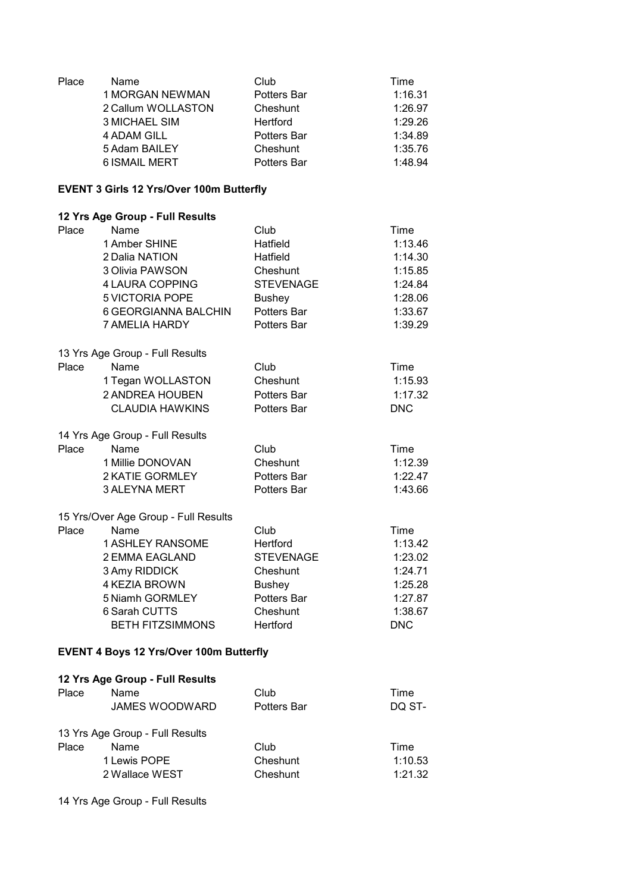| Place | Name<br>1 MORGAN NEWMAN<br>2 Callum WOLLASTON<br><b>3 MICHAEL SIM</b><br><b>4 ADAM GILL</b><br>5 Adam BAILEY<br><b>6 ISMAIL MERT</b>               | Club<br>Potters Bar<br>Cheshunt<br>Hertford<br>Potters Bar<br>Cheshunt<br>Potters Bar                       | Time<br>1:16.31<br>1:26.97<br>1:29.26<br>1:34.89<br>1:35.76<br>1:48.94               |
|-------|----------------------------------------------------------------------------------------------------------------------------------------------------|-------------------------------------------------------------------------------------------------------------|--------------------------------------------------------------------------------------|
|       | <b>EVENT 3 Girls 12 Yrs/Over 100m Butterfly</b>                                                                                                    |                                                                                                             |                                                                                      |
|       | 12 Yrs Age Group - Full Results                                                                                                                    |                                                                                                             |                                                                                      |
| Place | Name<br>1 Amber SHINE<br>2 Dalia NATION<br>3 Olivia PAWSON<br>4 LAURA COPPING<br>5 VICTORIA POPE<br>6 GEORGIANNA BALCHIN<br>7 AMELIA HARDY         | Club<br>Hatfield<br>Hatfield<br>Cheshunt<br><b>STEVENAGE</b><br><b>Bushey</b><br>Potters Bar<br>Potters Bar | Time<br>1:13.46<br>1:14.30<br>1:15.85<br>1:24.84<br>1:28.06<br>1:33.67<br>1:39.29    |
|       | 13 Yrs Age Group - Full Results                                                                                                                    |                                                                                                             |                                                                                      |
| Place | Name<br>1 Tegan WOLLASTON<br>2 ANDREA HOUBEN<br><b>CLAUDIA HAWKINS</b>                                                                             | Club<br>Cheshunt<br>Potters Bar<br>Potters Bar                                                              | Time<br>1:15.93<br>1:17.32<br><b>DNC</b>                                             |
|       | 14 Yrs Age Group - Full Results                                                                                                                    |                                                                                                             |                                                                                      |
| Place | Name<br>1 Millie DONOVAN<br>2 KATIE GORMLEY<br>3 ALEYNA MERT                                                                                       | Club<br>Cheshunt<br>Potters Bar<br>Potters Bar                                                              | Time<br>1:12.39<br>1:22.47<br>1:43.66                                                |
|       | 15 Yrs/Over Age Group - Full Results                                                                                                               |                                                                                                             |                                                                                      |
| Place | Name<br><b>1 ASHLEY RANSOME</b><br>2 EMMA EAGLAND<br>3 Amy RIDDICK<br>4 KEZIA BROWN<br>5 Niamh GORMLEY<br>6 Sarah CUTTS<br><b>BETH FITZSIMMONS</b> | Club<br>Hertford<br><b>STEVENAGE</b><br>Cheshunt<br><b>Bushey</b><br>Potters Bar<br>Cheshunt<br>Hertford    | Time<br>1:13.42<br>1:23.02<br>1:24.71<br>1:25.28<br>1:27.87<br>1:38.67<br><b>DNC</b> |
|       | <b>EVENT 4 Boys 12 Yrs/Over 100m Butterfly</b>                                                                                                     |                                                                                                             |                                                                                      |
|       | 12 Yrs Age Group - Full Results                                                                                                                    |                                                                                                             |                                                                                      |
| Place | Name<br><b>JAMES WOODWARD</b>                                                                                                                      | Club<br>Potters Bar                                                                                         | Time<br>DQ ST-                                                                       |
| Place | 13 Yrs Age Group - Full Results<br>Name<br>1 Lewis POPE<br>2 Wallace WEST                                                                          | Club<br>Cheshunt<br>Cheshunt                                                                                | Time<br>1:10.53<br>1:21.32                                                           |
|       |                                                                                                                                                    |                                                                                                             |                                                                                      |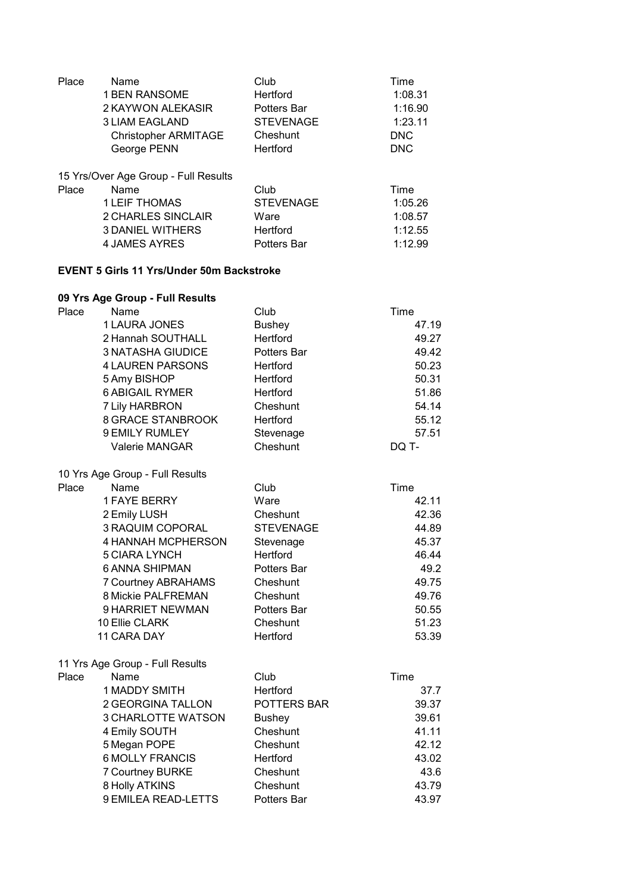| Place | Name                                 | Club             | Time       |
|-------|--------------------------------------|------------------|------------|
|       | <b>1 BEN RANSOME</b>                 | <b>Hertford</b>  | 1:08.31    |
|       | 2 KAYWON ALEKASIR                    | Potters Bar      | 1:16.90    |
|       | <b>3 LIAM EAGLAND</b>                | <b>STEVENAGE</b> | 1:23.11    |
|       | <b>Christopher ARMITAGE</b>          | Cheshunt         | <b>DNC</b> |
|       | George PENN                          | Hertford         | <b>DNC</b> |
|       | 15 Yrs/Over Age Group - Full Results |                  |            |
| Place | Name                                 | Club             | Time       |
|       | <b>1 LEIF THOMAS</b>                 | <b>STEVENAGE</b> | 1:05.26    |
|       | 2 CHARLES SINCLAIR                   | Ware             | 1:08.57    |
|       | <b>3 DANIEL WITHERS</b>              | Hertford         | 1:12.55    |
|       | 4 JAMES AYRES                        | Potters Bar      | 1:12.99    |
|       |                                      |                  |            |

### **EVENT 5 Girls 11 Yrs/Under 50m Backstroke**

|       | 09 Yrs Age Group - Full Results |                  |       |
|-------|---------------------------------|------------------|-------|
| Place | Name                            | Club             | Time  |
|       | 1 LAURA JONES                   | <b>Bushey</b>    | 47.19 |
|       | 2 Hannah SOUTHALL               | Hertford         | 49.27 |
|       | <b>3 NATASHA GIUDICE</b>        | Potters Bar      | 49.42 |
|       | <b>4 LAUREN PARSONS</b>         | Hertford         | 50.23 |
|       | 5 Amy BISHOP                    | Hertford         | 50.31 |
|       | <b>6 ABIGAIL RYMER</b>          | Hertford         | 51.86 |
|       | 7 Lily HARBRON                  | Cheshunt         | 54.14 |
|       | <b>8 GRACE STANBROOK</b>        | Hertford         | 55.12 |
|       | 9 EMILY RUMLEY                  | Stevenage        | 57.51 |
|       | Valerie MANGAR                  | Cheshunt         | DQ T- |
|       | 10 Yrs Age Group - Full Results |                  |       |
| Place | Name                            | Club             | Time  |
|       | <b>1 FAYE BERRY</b>             | Ware             | 42.11 |
|       | 2 Emily LUSH                    | Cheshunt         | 42.36 |
|       | 3 RAQUIM COPORAL                | <b>STEVENAGE</b> | 44.89 |
|       | 4 HANNAH MCPHERSON              | Stevenage        | 45.37 |
|       | <b>5 CIARA LYNCH</b>            | Hertford         | 46.44 |
|       | <b>6 ANNA SHIPMAN</b>           | Potters Bar      | 49.2  |
|       | 7 Courtney ABRAHAMS             | Cheshunt         | 49.75 |
|       | 8 Mickie PALFREMAN              | Cheshunt         | 49.76 |
|       | 9 HARRIET NEWMAN                | Potters Bar      | 50.55 |
|       | 10 Ellie CLARK                  | Cheshunt         | 51.23 |
|       | 11 CARA DAY                     | Hertford         | 53.39 |
|       | 11 Yrs Age Group - Full Results |                  |       |
| Place | Name                            | Club             | Time  |
|       | <b>1 MADDY SMITH</b>            | Hertford         | 37.7  |
|       | 2 GEORGINA TALLON               | POTTERS BAR      | 39.37 |
|       | 3 CHARLOTTE WATSON              | <b>Bushey</b>    | 39.61 |
|       | 4 Emily SOUTH                   | Cheshunt         | 41.11 |
|       | 5 Megan POPE                    | Cheshunt         | 42.12 |
|       | <b>6 MOLLY FRANCIS</b>          | Hertford         | 43.02 |
|       | 7 Courtney BURKE                | Cheshunt         | 43.6  |
|       | 8 Holly ATKINS                  | Cheshunt         | 43.79 |

9 EMILEA READ-LETTS Potters Bar 13.97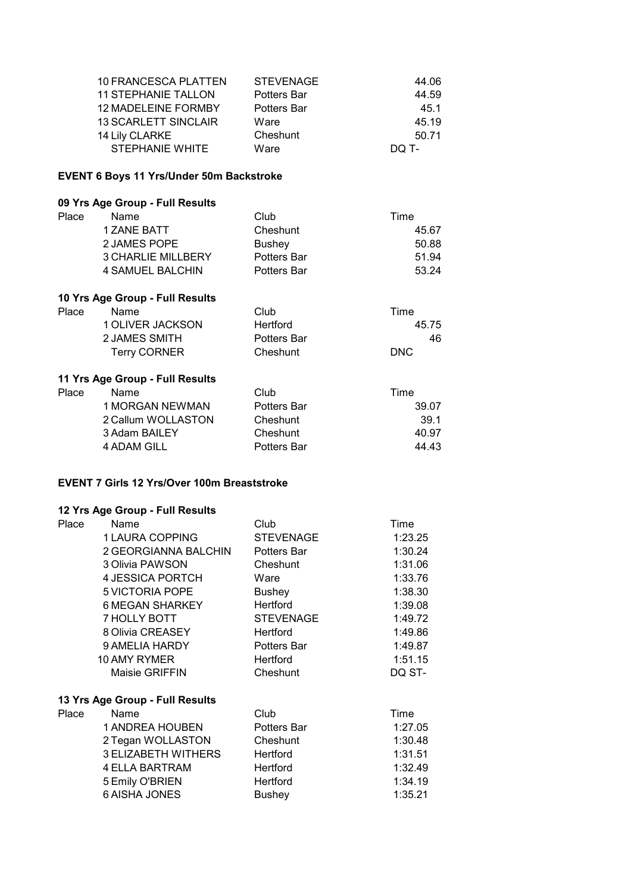| 10 FRANCESCA PLATTEN        | <b>STEVENAGE</b> | 44.06 |
|-----------------------------|------------------|-------|
| <b>11 STEPHANIE TALLON</b>  | Potters Bar      | 44.59 |
| <b>12 MADELEINE FORMBY</b>  | Potters Bar      | 45.1  |
| <b>13 SCARLETT SINCLAIR</b> | Ware             | 45.19 |
| 14 Lily CLARKE              | Cheshunt         | 50.71 |
| STEPHANIE WHITE             | Ware             | DO T- |

#### **EVENT 6 Boys 11 Yrs/Under 50m Backstroke**

#### **09 Yrs Age Group - Full Results**

| Place | Name                      | Club               | Time  |
|-------|---------------------------|--------------------|-------|
|       | 1 ZANE BATT               | Cheshunt           | 45.67 |
|       | 2 JAMES POPE              | <b>Bushey</b>      | 50.88 |
|       | <b>3 CHARLIE MILLBERY</b> | <b>Potters Bar</b> | 51.94 |
|       | 4 SAMUEL BALCHIN          | Potters Bar        | 53.24 |
|       |                           |                    |       |

#### Place Name Club Club 1 OLIVER JACKSON Hertford 45.75 2 JAMES SMITH Potters Bar 146 Terry CORNER Cheshunt DNC **10 Yrs Age Group - Full Results** Hertford Cheshunt

#### **11 Yrs Age Group - Full Results**

| Place | <b>Name</b>            | Club        | Time  |
|-------|------------------------|-------------|-------|
|       | <b>1 MORGAN NEWMAN</b> | Potters Bar | 39.07 |
|       | 2 Callum WOLLASTON     | Cheshunt    | 39.1  |
|       | 3 Adam BAILEY          | Cheshunt    | 40.97 |
|       | 4 ADAM GILL            | Potters Bar | 44.43 |

#### **EVENT 7 Girls 12 Yrs/Over 100m Breaststroke**

| Place | Name                            | Club               | Time    |
|-------|---------------------------------|--------------------|---------|
|       | 1 LAURA COPPING                 | <b>STEVENAGE</b>   | 1:23.25 |
|       | 2 GEORGIANNA BALCHIN            | Potters Bar        | 1:30.24 |
|       | 3 Olivia PAWSON                 | Cheshunt           | 1:31.06 |
|       | 4 JESSICA PORTCH                | Ware               | 1:33.76 |
|       | 5 VICTORIA POPE                 | <b>Bushey</b>      | 1:38.30 |
|       | <b>6 MEGAN SHARKEY</b>          | Hertford           | 1:39.08 |
|       | <b>7 HOLLY BOTT</b>             | <b>STEVENAGE</b>   | 1:49.72 |
|       | 8 Olivia CREASEY                | Hertford           | 1:49.86 |
|       | 9 AMELIA HARDY                  | Potters Bar        | 1:49.87 |
|       | 10 AMY RYMER                    | Hertford           | 1:51.15 |
|       | <b>Maisie GRIFFIN</b>           | Cheshunt           | DQ ST-  |
|       | 13 Yrs Age Group - Full Results |                    |         |
| Place | Name                            | Club               | Time    |
|       | <b>1 ANDREA HOUBEN</b>          | <b>Potters Bar</b> | 1:27.05 |
|       | 2 Tegan WOLLASTON               | Cheshunt           | 1:30.48 |
|       | <b>3 ELIZABETH WITHERS</b>      | Hertford           | 1:31.51 |
|       | <b>4 ELLA BARTRAM</b>           | Hertford           | 1:32.49 |
|       | 5 Emily O'BRIEN                 | Hertford           | 1:34.19 |
|       | <b>6 AISHA JONES</b>            | <b>Bushey</b>      | 1:35.21 |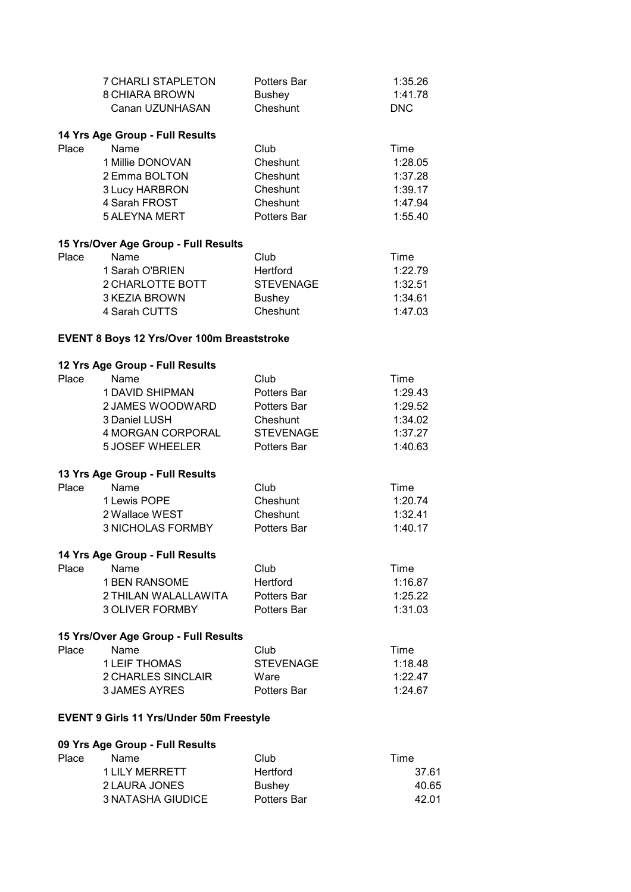|       | <b>7 CHARLI STAPLETON</b>                       | <b>Potters Bar</b>           | 1:35.26    |
|-------|-------------------------------------------------|------------------------------|------------|
|       | <b>8 CHIARA BROWN</b>                           | <b>Bushey</b>                | 1:41.78    |
|       | Canan UZUNHASAN                                 | Cheshunt                     | <b>DNC</b> |
|       |                                                 |                              |            |
|       | 14 Yrs Age Group - Full Results                 |                              |            |
| Place | Name                                            | Club                         | Time       |
|       | 1 Millie DONOVAN                                | Cheshunt                     | 1:28.05    |
|       | 2 Emma BOLTON                                   | Cheshunt                     | 1:37.28    |
|       | 3 Lucy HARBRON                                  | Cheshunt                     | 1:39.17    |
|       | 4 Sarah FROST                                   | Cheshunt                     | 1:47.94    |
|       | <b>5 ALEYNA MERT</b>                            | Potters Bar                  | 1:55.40    |
|       |                                                 |                              |            |
|       | 15 Yrs/Over Age Group - Full Results            |                              |            |
| Place | Name                                            | Club                         | Time       |
|       | 1 Sarah O'BRIEN                                 | Hertford                     | 1:22.79    |
|       | 2 CHARLOTTE BOTT                                | <b>STEVENAGE</b>             | 1:32.51    |
|       | 3 KEZIA BROWN                                   | <b>Bushey</b>                | 1:34.61    |
|       | 4 Sarah CUTTS                                   | Cheshunt                     | 1:47.03    |
|       | EVENT 8 Boys 12 Yrs/Over 100m Breaststroke      |                              |            |
|       |                                                 |                              |            |
|       | 12 Yrs Age Group - Full Results                 |                              |            |
| Place | <b>Name</b>                                     | Club                         | Time       |
|       | 1 DAVID SHIPMAN                                 | Potters Bar                  | 1:29.43    |
|       | 2 JAMES WOODWARD                                | Potters Bar                  | 1:29.52    |
|       | 3 Daniel LUSH                                   | Cheshunt                     | 1:34.02    |
|       | 4 MORGAN CORPORAL                               | <b>STEVENAGE</b>             | 1:37.27    |
|       | <b>5 JOSEF WHEELER</b>                          | Potters Bar                  | 1:40.63    |
|       | 13 Yrs Age Group - Full Results                 |                              |            |
| Place | Name                                            | Club                         | Time       |
|       | 1 Lewis POPE                                    | Cheshunt                     | 1:20.74    |
|       | 2 Wallace WEST                                  | Cheshunt                     | 1:32.41    |
|       | <b>3 NICHOLAS FORMBY</b>                        | <b>Potters Bar</b>           | 1:40.17    |
|       |                                                 |                              |            |
|       | 14 Yrs Age Group - Full Results                 |                              |            |
| Place | Name                                            | Club                         | Time       |
|       | 1 BEN RANSOME                                   | Hertford                     | 1:16.87    |
|       | 2 THILAN WALALLAWITA                            | Potters Bar                  | 1:25.22    |
|       | <b>3 OLIVER FORMBY</b>                          | Potters Bar                  | 1:31.03    |
|       |                                                 |                              |            |
|       | 15 Yrs/Over Age Group - Full Results            |                              |            |
| Place | Name                                            | Club                         | Time       |
|       | <b>1 LEIF THOMAS</b>                            | <b>STEVENAGE</b>             | 1:18.48    |
|       | 2 CHARLES SINCLAIR                              | Ware                         | 1:22.47    |
|       | <b>3 JAMES AYRES</b>                            | <b>Potters Bar</b>           | 1:24.67    |
|       | <b>EVENT 9 Girls 11 Yrs/Under 50m Freestyle</b> |                              |            |
|       |                                                 |                              |            |
| Place | 09 Yrs Age Group - Full Results<br>Name         | Club                         | Time       |
|       | <b>1 LILY MERRETT</b>                           | Hertford                     |            |
|       |                                                 |                              | 37.61      |
|       | 2 LAURA JONES                                   | <b>Bushey</b><br>Potters Bar | 40.65      |
|       | <b>3 NATASHA GIUDICE</b>                        |                              | 42.01      |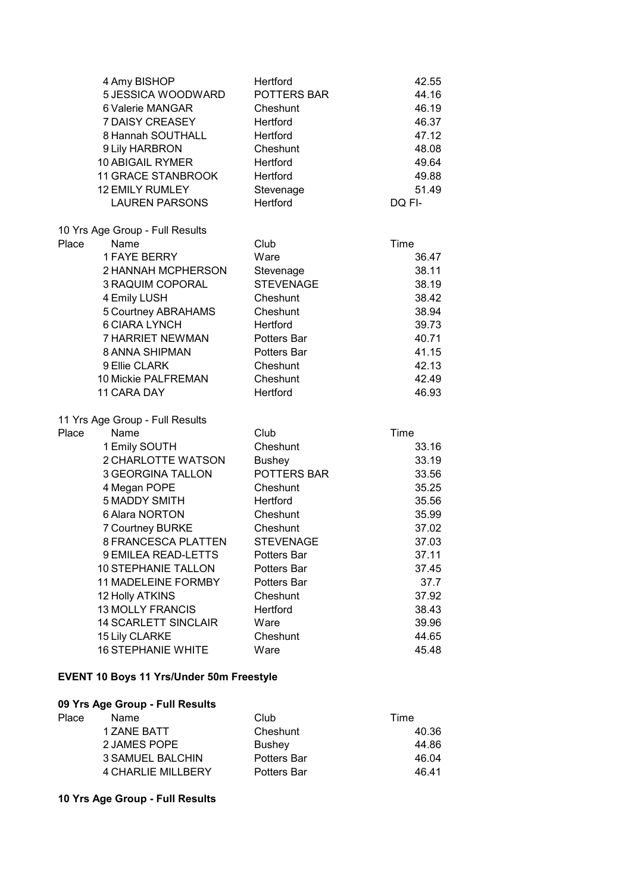| 4 Amy BISHOP                    | Hertford         | 42.55  |
|---------------------------------|------------------|--------|
| 5 JESSICA WOODWARD              | POTTERS BAR      | 44.16  |
| 6 Valerie MANGAR                | Cheshunt         | 46.19  |
| 7 DAISY CREASEY                 | Hertford         | 46.37  |
| 8 Hannah SOUTHALL               | Hertford         | 47.12  |
| 9 Lily HARBRON                  | Cheshunt         | 48.08  |
| <b>10 ABIGAIL RYMER</b>         | Hertford         | 49.64  |
| <b>11 GRACE STANBROOK</b>       | Hertford         | 49.88  |
| <b>12 EMILY RUMLEY</b>          | Stevenage        | 51.49  |
| <b>LAUREN PARSONS</b>           | Hertford         | DQ FI- |
| 10 Yrs Age Group - Full Results |                  |        |
| Name<br>Place                   | Club             | Time   |
| <b>1 FAYE BERRY</b>             | Ware             | 36.47  |
| 2 HANNAH MCPHERSON              | Stevenage        | 38.11  |
| 3 RAQUIM COPORAL                | <b>STEVENAGE</b> | 38.19  |
| 4 Emily LUSH                    | Cheshunt         | 38.42  |
| 5 Courtney ABRAHAMS             | Cheshunt         | 38.94  |
| <b>6 CIARA LYNCH</b>            | Hertford         | 39.73  |
| 7 HARRIET NEWMAN                | Potters Bar      | 40.71  |
| 8 ANNA SHIPMAN                  | Potters Bar      | 41.15  |
| 9 Ellie CLARK                   | Cheshunt         | 42.13  |
| 10 Mickie PALFREMAN             | Cheshunt         | 42.49  |
| 11 CARA DAY                     | Hertford         | 46.93  |
| 11 Yrs Age Group - Full Results |                  |        |
| Place<br>Name                   | Club             | Time   |
| 1 Emily SOUTH                   | Cheshunt         | 33.16  |
| 2 CHARLOTTE WATSON              | <b>Bushey</b>    | 33.19  |
| <b>3 GEORGINA TALLON</b>        | POTTERS BAR      | 33.56  |
| 4 Megan POPE                    | Cheshunt         | 35.25  |
| <b>5 MADDY SMITH</b>            | Hertford         | 35.56  |
| 6 Alara NORTON                  | Cheshunt         | 35.99  |
| <b>7 Courtney BURKE</b>         | Cheshunt         | 37.02  |
| 8 FRANCESCA PLATTEN             | <b>STEVENAGE</b> | 37.03  |
| 9 EMILEA READ-LETTS             | Potters Bar      | 37.11  |
| <b>10 STEPHANIE TALLON</b>      | Potters Bar      | 37.45  |
| 11 MADELEINE FORMBY             | Potters Bar      | 37.7   |
| 12 Holly ATKINS                 | Cheshunt         | 37.92  |
| <b>13 MOLLY FRANCIS</b>         | Hertford         | 38.43  |
| <b>14 SCARLETT SINCLAIR</b>     | Ware             | 39.96  |
| 15 Lily CLARKE                  | Cheshunt         | 44.65  |
| <b>16 STEPHANIE WHITE</b>       | Ware             | 45.48  |

## **EVENT 10 Boys 11 Yrs/Under 50m Freestyle**

#### **09 Yrs Age Group - Full Results**

| Name                      | Club               | Time  |
|---------------------------|--------------------|-------|
| 1 ZANE BATT               | Cheshunt           | 40.36 |
| 2 JAMES POPE              | <b>Bushev</b>      | 44.86 |
| 3 SAMUEL BALCHIN          | <b>Potters Bar</b> | 46.04 |
| <b>4 CHARLIE MILLBERY</b> | <b>Potters Bar</b> | 46 41 |
|                           |                    |       |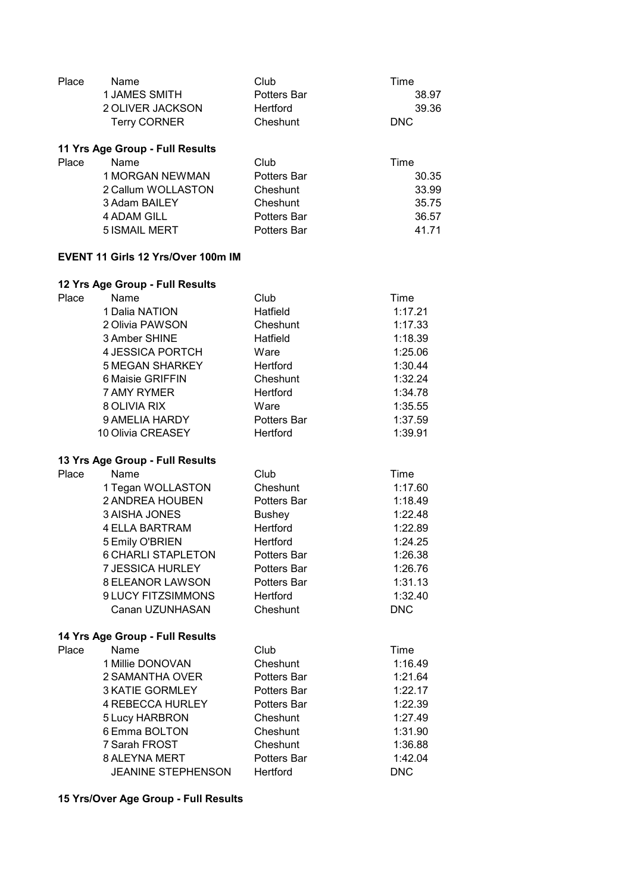| Place | Name<br><b>1 JAMES SMITH</b><br>2 OLIVER JACKSON<br><b>Terry CORNER</b>                                                                                                                                                                                                         | Club<br><b>Potters Bar</b><br>Hertford<br>Cheshunt                                                                                                   | Time<br>38.97<br>39.36<br><b>DNC</b>                                                                                  |
|-------|---------------------------------------------------------------------------------------------------------------------------------------------------------------------------------------------------------------------------------------------------------------------------------|------------------------------------------------------------------------------------------------------------------------------------------------------|-----------------------------------------------------------------------------------------------------------------------|
| Place | 11 Yrs Age Group - Full Results<br>Name<br>1 MORGAN NEWMAN<br>2 Callum WOLLASTON<br>3 Adam BAILEY<br><b>4 ADAM GILL</b><br><b>5 ISMAIL MERT</b>                                                                                                                                 | Club<br>Potters Bar<br>Cheshunt<br>Cheshunt<br><b>Potters Bar</b><br>Potters Bar                                                                     | Time<br>30.35<br>33.99<br>35.75<br>36.57<br>41.71                                                                     |
|       | <b>EVENT 11 Girls 12 Yrs/Over 100m IM</b>                                                                                                                                                                                                                                       |                                                                                                                                                      |                                                                                                                       |
| Place | 12 Yrs Age Group - Full Results<br>Name<br>1 Dalia NATION<br>2 Olivia PAWSON<br>3 Amber SHINE<br>4 JESSICA PORTCH<br><b>5 MEGAN SHARKEY</b><br>6 Maisie GRIFFIN<br>7 AMY RYMER<br>8 OLIVIA RIX<br>9 AMELIA HARDY<br>10 Olivia CREASEY                                           | Club<br>Hatfield<br>Cheshunt<br>Hatfield<br>Ware<br>Hertford<br>Cheshunt<br>Hertford<br>Ware<br>Potters Bar<br>Hertford                              | Time<br>1:17.21<br>1:17.33<br>1:18.39<br>1:25.06<br>1:30.44<br>1:32.24<br>1:34.78<br>1:35.55<br>1:37.59<br>1:39.91    |
| Place | 13 Yrs Age Group - Full Results<br>Name<br>1 Tegan WOLLASTON<br>2 ANDREA HOUBEN<br><b>3 AISHA JONES</b><br><b>4 ELLA BARTRAM</b><br>5 Emily O'BRIEN<br><b>6 CHARLI STAPLETON</b><br><b>7 JESSICA HURLEY</b><br><b>8 ELEANOR LAWSON</b><br>9 LUCY FITZSIMMONS<br>Canan UZUNHASAN | Club<br>Cheshunt<br>Potters Bar<br><b>Bushey</b><br><b>Hertford</b><br>Hertford<br>Potters Bar<br>Potters Bar<br>Potters Bar<br>Hertford<br>Cheshunt | Time<br>1:17.60<br>1:18.49<br>1:22.48<br>1:22.89<br>1:24.25<br>1:26.38<br>1:26.76<br>1:31.13<br>1:32.40<br><b>DNC</b> |
| Place | 14 Yrs Age Group - Full Results<br>Name<br>1 Millie DONOVAN<br>2 SAMANTHA OVER<br><b>3 KATIE GORMLEY</b><br><b>4 REBECCA HURLEY</b><br>5 Lucy HARBRON<br>6 Emma BOLTON<br>7 Sarah FROST<br>8 ALEYNA MERT<br>JEANINE STEPHENSON                                                  | Club<br>Cheshunt<br>Potters Bar<br>Potters Bar<br>Potters Bar<br>Cheshunt<br>Cheshunt<br>Cheshunt<br>Potters Bar<br>Hertford                         | Time<br>1:16.49<br>1:21.64<br>1:22.17<br>1:22.39<br>1:27.49<br>1:31.90<br>1:36.88<br>1:42.04<br><b>DNC</b>            |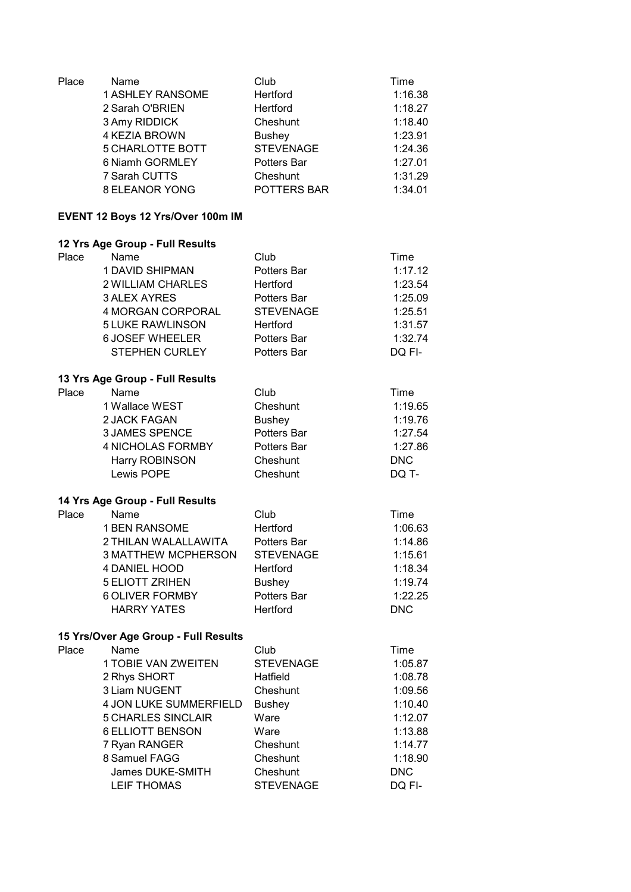| Place | Name<br><b>1 ASHLEY RANSOME</b><br>2 Sarah O'BRIEN<br>3 Amy RIDDICK<br>4 KEZIA BROWN<br><b>5 CHARLOTTE BOTT</b><br>6 Niamh GORMLEY<br>7 Sarah CUTTS<br><b>8 ELEANOR YONG</b> | Club<br>Hertford<br>Hertford<br>Cheshunt<br><b>Bushey</b><br><b>STEVENAGE</b><br>Potters Bar<br>Cheshunt<br>POTTERS BAR | Time<br>1:16.38<br>1:18.27<br>1:18.40<br>1:23.91<br>1:24.36<br>1:27.01<br>1:31.29<br>1:34.01 |
|-------|------------------------------------------------------------------------------------------------------------------------------------------------------------------------------|-------------------------------------------------------------------------------------------------------------------------|----------------------------------------------------------------------------------------------|
|       | EVENT 12 Boys 12 Yrs/Over 100m IM                                                                                                                                            |                                                                                                                         |                                                                                              |
|       | 12 Yrs Age Group - Full Results                                                                                                                                              |                                                                                                                         |                                                                                              |
| Place | Name                                                                                                                                                                         | Club                                                                                                                    | Time                                                                                         |
|       | 1 DAVID SHIPMAN                                                                                                                                                              | Potters Bar                                                                                                             | 1:17.12                                                                                      |
|       | 2 WILLIAM CHARLES                                                                                                                                                            | Hertford                                                                                                                | 1:23.54                                                                                      |
|       | <b>3 ALEX AYRES</b>                                                                                                                                                          | Potters Bar                                                                                                             | 1:25.09                                                                                      |
|       | 4 MORGAN CORPORAL                                                                                                                                                            | <b>STEVENAGE</b>                                                                                                        | 1:25.51                                                                                      |
|       | <b>5 LUKE RAWLINSON</b>                                                                                                                                                      | Hertford                                                                                                                | 1:31.57                                                                                      |
|       | <b>6 JOSEF WHEELER</b>                                                                                                                                                       | Potters Bar                                                                                                             | 1:32.74                                                                                      |
|       | <b>STEPHEN CURLEY</b>                                                                                                                                                        | Potters Bar                                                                                                             | DQ FI-                                                                                       |
|       | 13 Yrs Age Group - Full Results                                                                                                                                              |                                                                                                                         |                                                                                              |
| Place | Name                                                                                                                                                                         | Club                                                                                                                    | Time                                                                                         |
|       | 1 Wallace WEST                                                                                                                                                               | Cheshunt                                                                                                                | 1:19.65                                                                                      |
|       | 2 JACK FAGAN                                                                                                                                                                 | <b>Bushey</b>                                                                                                           | 1:19.76                                                                                      |
|       | <b>3 JAMES SPENCE</b>                                                                                                                                                        | Potters Bar                                                                                                             | 1:27.54                                                                                      |
|       | <b>4 NICHOLAS FORMBY</b>                                                                                                                                                     | Potters Bar                                                                                                             | 1:27.86                                                                                      |
|       | Harry ROBINSON                                                                                                                                                               | Cheshunt                                                                                                                | <b>DNC</b>                                                                                   |
|       | Lewis POPE                                                                                                                                                                   | Cheshunt                                                                                                                | DQ T-                                                                                        |
|       | 14 Yrs Age Group - Full Results                                                                                                                                              |                                                                                                                         |                                                                                              |
| Place | Name                                                                                                                                                                         | Club                                                                                                                    | Time                                                                                         |
|       | <b>1 BEN RANSOME</b>                                                                                                                                                         | Hertford                                                                                                                | 1:06.63                                                                                      |
|       | 2 THILAN WALALLAWITA                                                                                                                                                         | Potters Bar                                                                                                             | 1:14.86                                                                                      |
|       | <b>3 MATTHEW MCPHERSON</b>                                                                                                                                                   | <b>STEVENAGE</b>                                                                                                        | 1:15.61                                                                                      |
|       | 4 DANIEL HOOD                                                                                                                                                                | Hertford                                                                                                                | 1:18.34                                                                                      |
|       | <b>5 ELIOTT ZRIHEN</b>                                                                                                                                                       | <b>Bushey</b>                                                                                                           | 1:19.74                                                                                      |
|       | <b>6 OLIVER FORMBY</b>                                                                                                                                                       | Potters Bar                                                                                                             | 1:22.25                                                                                      |
|       | <b>HARRY YATES</b>                                                                                                                                                           | Hertford                                                                                                                | <b>DNC</b>                                                                                   |
|       | 15 Yrs/Over Age Group - Full Results                                                                                                                                         |                                                                                                                         |                                                                                              |
| Place | Name                                                                                                                                                                         | Club                                                                                                                    | Time                                                                                         |
|       | 1 TOBIE VAN ZWEITEN                                                                                                                                                          | <b>STEVENAGE</b>                                                                                                        | 1:05.87                                                                                      |
|       | 2 Rhys SHORT                                                                                                                                                                 | Hatfield                                                                                                                | 1:08.78                                                                                      |
|       | 3 Liam NUGENT                                                                                                                                                                | Cheshunt                                                                                                                | 1:09.56                                                                                      |
|       | 4 JON LUKE SUMMERFIELD                                                                                                                                                       | <b>Bushey</b>                                                                                                           | 1:10.40                                                                                      |
|       | <b>5 CHARLES SINCLAIR</b>                                                                                                                                                    | Ware                                                                                                                    | 1:12.07                                                                                      |
|       | <b>6 ELLIOTT BENSON</b>                                                                                                                                                      | Ware                                                                                                                    | 1:13.88                                                                                      |
|       | 7 Ryan RANGER                                                                                                                                                                | Cheshunt                                                                                                                | 1:14.77                                                                                      |
|       | 8 Samuel FAGG                                                                                                                                                                | Cheshunt                                                                                                                | 1:18.90                                                                                      |
|       | James DUKE-SMITH                                                                                                                                                             | Cheshunt                                                                                                                | <b>DNC</b>                                                                                   |
|       | <b>LEIF THOMAS</b>                                                                                                                                                           | <b>STEVENAGE</b>                                                                                                        | DQ FI-                                                                                       |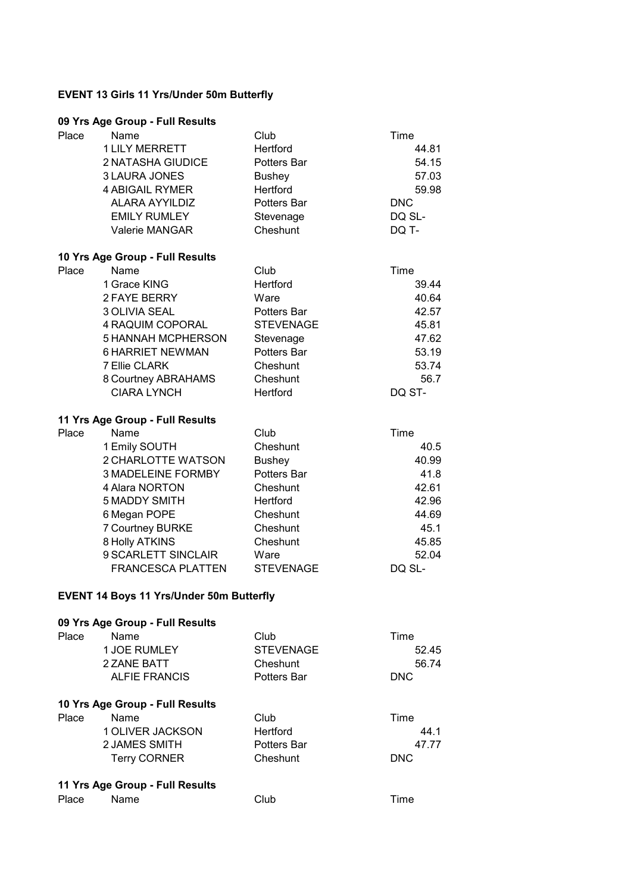## **EVENT 13 Girls 11 Yrs/Under 50m Butterfly**

| Place | Name<br><b>1 LILY MERRETT</b>                   | Club<br>Hertford     | Time<br>44.81  |
|-------|-------------------------------------------------|----------------------|----------------|
|       | 2 NATASHA GIUDICE                               | Potters Bar          | 54.15          |
|       | 3 LAURA JONES                                   | <b>Bushey</b>        | 57.03          |
|       | <b>4 ABIGAIL RYMER</b>                          | Hertford             | 59.98          |
|       | <b>ALARA AYYILDIZ</b>                           | Potters Bar          | <b>DNC</b>     |
|       | <b>EMILY RUMLEY</b>                             | Stevenage            | DQ SL-         |
|       | Valerie MANGAR                                  | Cheshunt             | DQ T-          |
|       | 10 Yrs Age Group - Full Results                 |                      |                |
| Place | Name                                            | Club                 | Time           |
|       | 1 Grace KING                                    | Hertford             | 39.44          |
|       | 2 FAYE BERRY                                    | Ware                 | 40.64          |
|       | 3 OLIVIA SEAL                                   | Potters Bar          | 42.57          |
|       | 4 RAQUIM COPORAL                                | <b>STEVENAGE</b>     | 45.81          |
|       | <b>5 HANNAH MCPHERSON</b>                       | Stevenage            | 47.62          |
|       | <b>6 HARRIET NEWMAN</b>                         | Potters Bar          | 53.19          |
|       | 7 Ellie CLARK                                   | Cheshunt             | 53.74          |
|       | 8 Courtney ABRAHAMS<br><b>CIARA LYNCH</b>       | Cheshunt<br>Hertford | 56.7<br>DQ ST- |
|       |                                                 |                      |                |
|       | 11 Yrs Age Group - Full Results                 |                      |                |
| Place | Name                                            | Club                 | Time           |
|       | 1 Emily SOUTH                                   | Cheshunt             | 40.5           |
|       | 2 CHARLOTTE WATSON                              | <b>Bushey</b>        | 40.99          |
|       | 3 MADELEINE FORMBY                              | <b>Potters Bar</b>   | 41.8           |
|       | 4 Alara NORTON                                  | Cheshunt             | 42.61          |
|       | <b>5 MADDY SMITH</b>                            | Hertford             | 42.96          |
|       | 6 Megan POPE                                    | Cheshunt             | 44.69          |
|       | 7 Courtney BURKE                                | Cheshunt             | 45.1           |
|       | 8 Holly ATKINS<br>9 SCARLETT SINCLAIR           | Cheshunt             | 45.85          |
|       |                                                 | Ware                 | 52.04          |
|       | FRANCESCA PLATTEN                               | <b>STEVENAGE</b>     | DQ SL-         |
|       | <b>EVENT 14 Boys 11 Yrs/Under 50m Butterfly</b> |                      |                |
|       | 09 Yrs Age Group - Full Results                 |                      |                |
| Place | Name                                            | Club                 | Time           |
|       | <b>1 JOE RUMLEY</b>                             | <b>STEVENAGE</b>     | 52.45          |
|       | 2 ZANE BATT                                     | Cheshunt             | 56.74          |
|       | <b>ALFIE FRANCIS</b>                            | Potters Bar          | <b>DNC</b>     |
|       | 10 Yrs Age Group - Full Results                 |                      |                |
| Place | Name                                            | Club                 | Time           |
|       | 1 OLIVER JACKSON                                | Hertford             | 44.1           |
|       | 2 JAMES SMITH                                   | <b>Potters Bar</b>   | 47.77          |
|       | <b>Terry CORNER</b>                             | Cheshunt             | <b>DNC</b>     |
|       | 11 Yrs Age Group - Full Results                 |                      |                |
| Place | Name                                            | Club                 | Time           |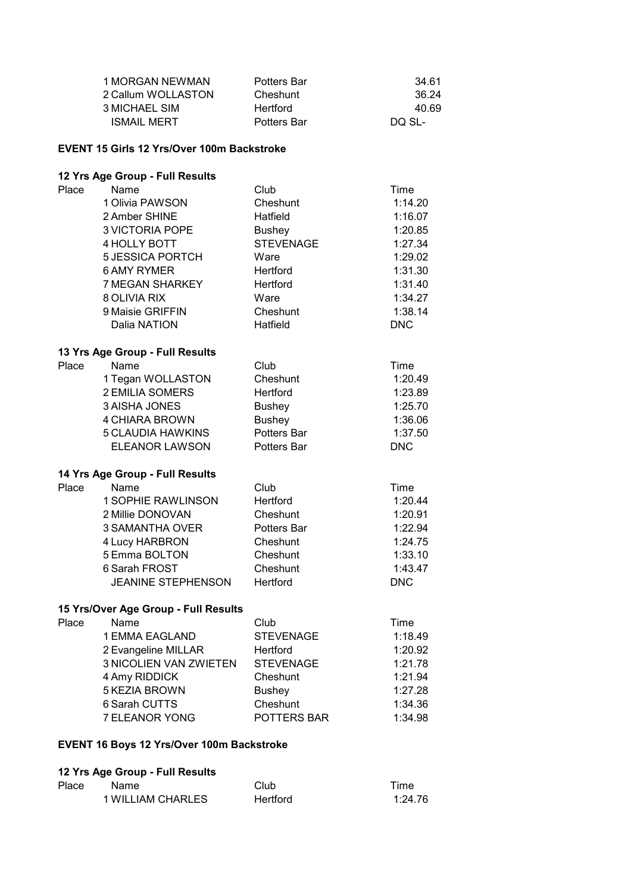| 1 MORGAN NEWMAN    | <b>Potters Bar</b> | 34.61  |
|--------------------|--------------------|--------|
| 2 Callum WOLLASTON | Cheshunt           | 36.24  |
| 3 MICHAEL SIM      | <b>Hertford</b>    | 40.69  |
| <b>ISMAIL MERT</b> | <b>Potters Bar</b> | DO SL- |

## **EVENT 15 Girls 12 Yrs/Over 100m Backstroke**

## **12 Yrs Age Group - Full Results**

| Place | Name                                 | Club               | Time       |
|-------|--------------------------------------|--------------------|------------|
|       | 1 Olivia PAWSON                      | Cheshunt           | 1:14.20    |
|       | 2 Amber SHINE                        | Hatfield           | 1:16.07    |
|       | <b>3 VICTORIA POPE</b>               | <b>Bushey</b>      | 1:20.85    |
|       | 4 HOLLY BOTT                         | <b>STEVENAGE</b>   | 1:27.34    |
|       | <b>5 JESSICA PORTCH</b>              | Ware               | 1:29.02    |
|       | <b>6 AMY RYMER</b>                   | Hertford           | 1:31.30    |
|       | 7 MEGAN SHARKEY                      | Hertford           | 1:31.40    |
|       | 8 OLIVIA RIX                         | Ware               | 1:34.27    |
|       | 9 Maisie GRIFFIN                     | Cheshunt           | 1:38.14    |
|       | Dalia NATION                         | Hatfield           | <b>DNC</b> |
|       | 13 Yrs Age Group - Full Results      |                    |            |
| Place | Name                                 | Club               | Time       |
|       | 1 Tegan WOLLASTON                    | Cheshunt           | 1:20.49    |
|       | <b>2 EMILIA SOMERS</b>               | Hertford           | 1:23.89    |
|       | <b>3 AISHA JONES</b>                 | <b>Bushey</b>      | 1:25.70    |
|       | <b>4 CHIARA BROWN</b>                | <b>Bushey</b>      | 1:36.06    |
|       | 5 CLAUDIA HAWKINS                    | Potters Bar        | 1:37.50    |
|       | <b>ELEANOR LAWSON</b>                | <b>Potters Bar</b> | <b>DNC</b> |
|       | 14 Yrs Age Group - Full Results      |                    |            |
| Place | Name                                 | Club               | Time       |
|       | <b>1 SOPHIE RAWLINSON</b>            | <b>Hertford</b>    | 1:20.44    |
|       | 2 Millie DONOVAN                     | Cheshunt           | 1:20.91    |
|       | 3 SAMANTHA OVER                      | Potters Bar        | 1:22.94    |
|       | 4 Lucy HARBRON                       | Cheshunt           | 1:24.75    |
|       | 5 Emma BOLTON                        | Cheshunt           | 1:33.10    |
|       | 6 Sarah FROST                        | Cheshunt           | 1:43.47    |
|       | <b>JEANINE STEPHENSON</b>            | Hertford           | <b>DNC</b> |
|       | 15 Yrs/Over Age Group - Full Results |                    |            |
| Place | Name                                 | Club               | Time       |
|       | 1 EMMA EAGLAND                       | <b>STEVENAGE</b>   | 1:18.49    |
|       | 2 Evangeline MILLAR                  | Hertford           | 1:20.92    |
|       | <b>3 NICOLIEN VAN ZWIETEN</b>        | <b>STEVENAGE</b>   | 1:21.78    |

| 3 NICOLIEN VAN ZWIETEN | SIEVENAGE          | 1:21.78 |
|------------------------|--------------------|---------|
| 4 Amy RIDDICK          | Cheshunt           | 1:21.94 |
| 5 KEZIA BROWN          | <b>Bushev</b>      | 1:27.28 |
| 6 Sarah CUTTS          | Cheshunt           | 1:34.36 |
| 7 ELEANOR YONG         | <b>POTTERS BAR</b> | 1:34.98 |
|                        |                    |         |

## **EVENT 16 Boys 12 Yrs/Over 100m Backstroke**

| Place | Name              | Club     | Time    |
|-------|-------------------|----------|---------|
|       | 1 WILLIAM CHARLES | Hertford | 1:24.76 |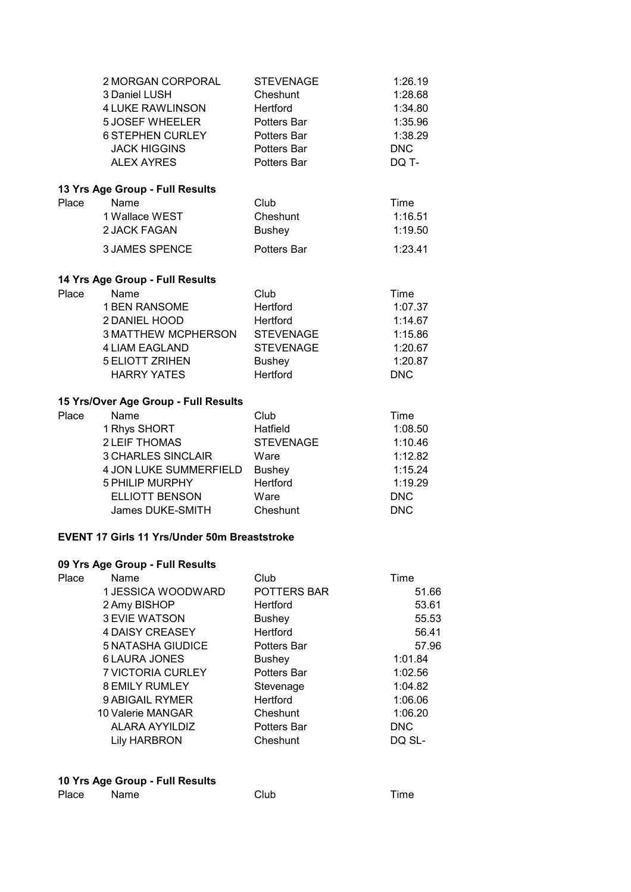|       | 2 MORGAN CORPORAL<br>3 Daniel LUSH<br>4 LUKE RAWLINSON<br><b>5 JOSEF WHEELER</b><br><b>6 STEPHEN CURLEY</b><br><b>JACK HIGGINS</b><br><b>ALEX AYRES</b> | <b>STEVENAGE</b><br>Cheshunt<br>Hertford<br>Potters Bar<br>Potters Bar<br>Potters Bar<br>Potters Bar | 1:26.19<br>1:28.68<br>1:34.80<br>1:35.96<br>1:38.29<br><b>DNC</b><br>DQ T- |
|-------|---------------------------------------------------------------------------------------------------------------------------------------------------------|------------------------------------------------------------------------------------------------------|----------------------------------------------------------------------------|
|       | 13 Yrs Age Group - Full Results                                                                                                                         |                                                                                                      |                                                                            |
| Place | Name                                                                                                                                                    | Club                                                                                                 | Time                                                                       |
|       | 1 Wallace WEST                                                                                                                                          | Cheshunt                                                                                             | 1:16.51                                                                    |
|       | 2 JACK FAGAN                                                                                                                                            | <b>Bushey</b>                                                                                        | 1:19.50                                                                    |
|       | <b>3 JAMES SPENCE</b>                                                                                                                                   | Potters Bar                                                                                          | 1:23.41                                                                    |
|       | 14 Yrs Age Group - Full Results                                                                                                                         |                                                                                                      |                                                                            |
| Place | Name                                                                                                                                                    | Club                                                                                                 | Time                                                                       |
|       | <b>1 BEN RANSOME</b>                                                                                                                                    | Hertford                                                                                             | 1:07.37                                                                    |
|       | 2 DANIEL HOOD                                                                                                                                           | Hertford                                                                                             | 1:14.67                                                                    |
|       | <b>3 MATTHEW MCPHERSON</b>                                                                                                                              | <b>STEVENAGE</b>                                                                                     | 1:15.86                                                                    |
|       | <b>4 LIAM EAGLAND</b>                                                                                                                                   | <b>STEVENAGE</b>                                                                                     | 1:20.67                                                                    |
|       | <b>5 ELIOTT ZRIHEN</b>                                                                                                                                  | <b>Bushey</b>                                                                                        | 1:20.87                                                                    |
|       | <b>HARRY YATES</b>                                                                                                                                      | <b>Hertford</b>                                                                                      | <b>DNC</b>                                                                 |
|       | 15 Yrs/Over Age Group - Full Results                                                                                                                    |                                                                                                      |                                                                            |
| Place | Name                                                                                                                                                    | Club                                                                                                 | Time                                                                       |
|       | 1 Rhys SHORT                                                                                                                                            | Hatfield                                                                                             | 1:08.50                                                                    |
|       | 2 LEIF THOMAS                                                                                                                                           | <b>STEVENAGE</b>                                                                                     | 1:10.46                                                                    |
|       | <b>3 CHARLES SINCLAIR</b>                                                                                                                               | Ware                                                                                                 | 1:12.82                                                                    |
|       | 4 JON LUKE SUMMERFIELD                                                                                                                                  | <b>Bushey</b>                                                                                        | 1:15.24                                                                    |
|       | <b>5 PHILIP MURPHY</b>                                                                                                                                  | Hertford                                                                                             | 1:19.29                                                                    |
|       | <b>ELLIOTT BENSON</b>                                                                                                                                   | Ware                                                                                                 | <b>DNC</b>                                                                 |
|       | James DUKE-SMITH                                                                                                                                        | Cheshunt                                                                                             | <b>DNC</b>                                                                 |
|       | <b>EVENT 17 Girls 11 Yrs/Under 50m Breaststroke</b>                                                                                                     |                                                                                                      |                                                                            |
|       | 09 Yrs Age Group - Full Results                                                                                                                         |                                                                                                      |                                                                            |
| Place | Name                                                                                                                                                    | Club                                                                                                 | Time                                                                       |
|       | 1 JESSICA WOODWARD                                                                                                                                      | POTTERS BAR                                                                                          | 51.66                                                                      |
|       | 2 Amy BISHOP                                                                                                                                            | Hertford                                                                                             | 53.61                                                                      |
|       | <b>3 EVIE WATSON</b>                                                                                                                                    | <b>Bushey</b>                                                                                        | 55.53                                                                      |
|       | <b>4 DAISY CREASEY</b>                                                                                                                                  | Hertford                                                                                             | 56.41                                                                      |
|       | <b>5 NATASHA GIUDICE</b>                                                                                                                                | Potters Bar                                                                                          | 57.96                                                                      |
|       | <b>6 LAURA JONES</b>                                                                                                                                    | <b>Bushey</b>                                                                                        | 1:01.84                                                                    |
|       | 7 VICTORIA CURLEY                                                                                                                                       | Potters Bar                                                                                          | 1:02.56                                                                    |

| 10 Yrs Age Group - Full Results |      |      |      |  |
|---------------------------------|------|------|------|--|
| Place                           | Name | Club | Time |  |

8 EMILY RUMLEY Stevenage 1:04.82 9 ABIGAIL RYMER
Hertford
1:06.06 10 Valerie MANGAR Cheshunt 1:06.20 ALARA AYYILDIZ Potters Bar DNC Lily HARBRON Cheshunt DQ SL-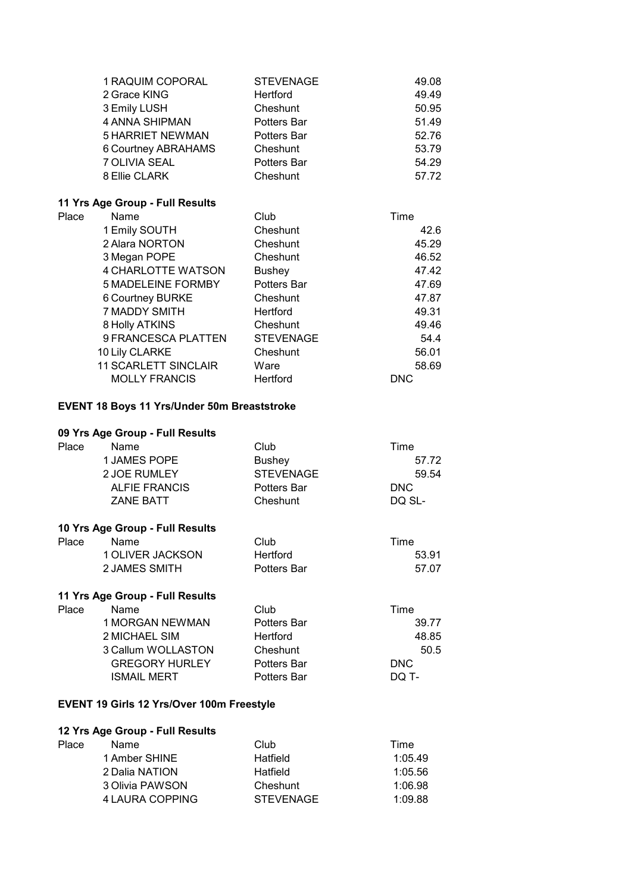| 1 RAQUIM COPORAL        | <b>STEVENAGE</b>   | 49.08 |
|-------------------------|--------------------|-------|
| 2 Grace KING            | Hertford           | 49.49 |
| 3 Emily LUSH            | Cheshunt           | 50.95 |
| 4 ANNA SHIPMAN          | <b>Potters Bar</b> | 51.49 |
| <b>5 HARRIET NEWMAN</b> | Potters Bar        | 52.76 |
| 6 Courtney ABRAHAMS     | Cheshunt           | 53.79 |
| 7 OLIVIA SEAL           | Potters Bar        | 54.29 |
| 8 Ellie CLARK           | Cheshunt           | 57.72 |
|                         |                    |       |

## **11 Yrs Age Group - Full Results**

| Place | Name                        | Club             | Time       |
|-------|-----------------------------|------------------|------------|
|       | 1 Emily SOUTH               | Cheshunt         | 42.6       |
|       | 2 Alara NORTON              | Cheshunt         | 45.29      |
|       | 3 Megan POPE                | Cheshunt         | 46.52      |
|       | 4 CHARLOTTE WATSON          | <b>Bushey</b>    | 47.42      |
|       | <b>5 MADELEINE FORMBY</b>   | Potters Bar      | 47.69      |
|       | <b>6 Courtney BURKE</b>     | Cheshunt         | 47.87      |
|       | 7 MADDY SMITH               | Hertford         | 49.31      |
|       | 8 Holly ATKINS              | Cheshunt         | 49.46      |
|       | 9 FRANCESCA PLATTEN         | <b>STEVENAGE</b> | 54.4       |
|       | 10 Lily CLARKE              | Cheshunt         | 56.01      |
|       | <b>11 SCARLETT SINCLAIR</b> | Ware             | 58.69      |
|       | <b>MOLLY FRANCIS</b>        | Hertford         | <b>DNC</b> |
|       |                             |                  |            |

### **EVENT 18 Boys 11 Yrs/Under 50m Breaststroke**

### **09 Yrs Age Group - Full Results**

| Place | Name                 | Club               | Time   |
|-------|----------------------|--------------------|--------|
|       | 1 JAMES POPE         | <b>Bushev</b>      | 57.72  |
|       | 2 JOE RUMLEY         | STEVENAGE          | 59.54  |
|       | <b>ALFIE FRANCIS</b> | <b>Potters Bar</b> | DNC.   |
|       | <b>ZANE BATT</b>     | Cheshunt           | DO SL- |

#### **10 Yrs Age Group - Full Results**

| Place | Name             | Club               | Time  |
|-------|------------------|--------------------|-------|
|       | 1 OLIVER JACKSON | Hertford           | 53.91 |
|       | 2 JAMES SMITH    | <b>Potters Bar</b> | 57.07 |

# **11 Yrs Age Group - Full Results**

| Place | Name                  | Club               | Time       |
|-------|-----------------------|--------------------|------------|
|       | 1 MORGAN NEWMAN       | <b>Potters Bar</b> | 39.77      |
|       | 2 MICHAEL SIM         | <b>Hertford</b>    | 48.85      |
|       | 3 Callum WOLLASTON    | Cheshunt           | 50.5       |
|       | <b>GREGORY HURLEY</b> | Potters Bar        | <b>DNC</b> |
|       | <b>ISMAIL MERT</b>    | <b>Potters Bar</b> | DQ T-      |

### **EVENT 19 Girls 12 Yrs/Over 100m Freestyle**

| Place | Name            | Club             | Time    |
|-------|-----------------|------------------|---------|
|       | 1 Amber SHINE   | Hatfield         | 1:05.49 |
|       | 2 Dalia NATION  | Hatfield         | 1:05.56 |
|       | 3 Olivia PAWSON | Cheshunt         | 1:06.98 |
|       | 4 LAURA COPPING | <b>STEVENAGE</b> | 1:09.88 |
|       |                 |                  |         |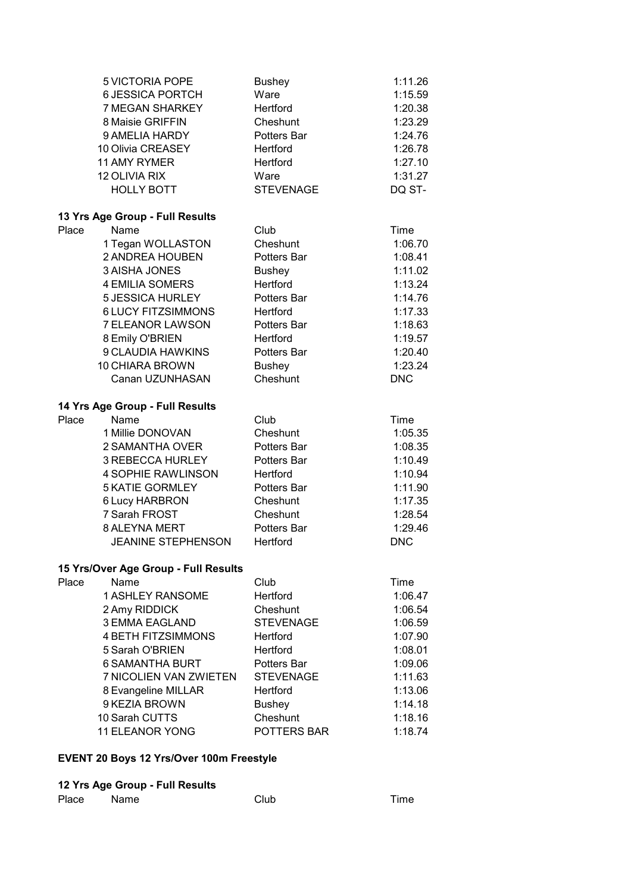|       | 5 VICTORIA POPE<br><b>6 JESSICA PORTCH</b><br>7 MEGAN SHARKEY<br>8 Maisie GRIFFIN<br>9 AMELIA HARDY<br>10 Olivia CREASEY<br>11 AMY RYMER<br>12 OLIVIA RIX<br><b>HOLLY BOTT</b> | <b>Bushey</b><br>Ware<br><b>Hertford</b><br>Cheshunt<br>Potters Bar<br>Hertford<br>Hertford<br>Ware<br><b>STEVENAGE</b> | 1:11.26<br>1:15.59<br>1:20.38<br>1:23.29<br>1:24.76<br>1:26.78<br>1:27.10<br>1:31.27<br>DQ ST- |
|-------|--------------------------------------------------------------------------------------------------------------------------------------------------------------------------------|-------------------------------------------------------------------------------------------------------------------------|------------------------------------------------------------------------------------------------|
|       | 13 Yrs Age Group - Full Results                                                                                                                                                |                                                                                                                         |                                                                                                |
| Place | Name                                                                                                                                                                           | Club                                                                                                                    | Time                                                                                           |
|       | 1 Tegan WOLLASTON                                                                                                                                                              | Cheshunt                                                                                                                | 1:06.70                                                                                        |
|       | 2 ANDREA HOUBEN                                                                                                                                                                | Potters Bar                                                                                                             | 1:08.41                                                                                        |
|       | <b>3 AISHA JONES</b>                                                                                                                                                           | <b>Bushey</b>                                                                                                           | 1:11.02                                                                                        |
|       | <b>4 EMILIA SOMERS</b>                                                                                                                                                         | Hertford                                                                                                                | 1:13.24                                                                                        |
|       | <b>5 JESSICA HURLEY</b>                                                                                                                                                        | Potters Bar                                                                                                             | 1:14.76                                                                                        |
|       | <b>6 LUCY FITZSIMMONS</b>                                                                                                                                                      | Hertford                                                                                                                | 1:17.33                                                                                        |
|       | 7 ELEANOR LAWSON                                                                                                                                                               | Potters Bar                                                                                                             | 1:18.63                                                                                        |
|       | 8 Emily O'BRIEN                                                                                                                                                                | Hertford                                                                                                                | 1:19.57                                                                                        |
|       | 9 CLAUDIA HAWKINS                                                                                                                                                              | Potters Bar                                                                                                             | 1:20.40                                                                                        |
|       | 10 CHIARA BROWN<br>Canan UZUNHASAN                                                                                                                                             | <b>Bushey</b><br>Cheshunt                                                                                               | 1:23.24<br><b>DNC</b>                                                                          |
|       |                                                                                                                                                                                |                                                                                                                         |                                                                                                |
|       | 14 Yrs Age Group - Full Results                                                                                                                                                |                                                                                                                         |                                                                                                |
| Place | Name                                                                                                                                                                           | Club                                                                                                                    | Time                                                                                           |
|       | 1 Millie DONOVAN                                                                                                                                                               | Cheshunt                                                                                                                | 1:05.35                                                                                        |
|       | 2 SAMANTHA OVER                                                                                                                                                                | Potters Bar                                                                                                             | 1:08.35                                                                                        |
|       | 3 REBECCA HURLEY                                                                                                                                                               | Potters Bar                                                                                                             | 1:10.49                                                                                        |
|       | <b>4 SOPHIE RAWLINSON</b>                                                                                                                                                      | Hertford                                                                                                                | 1:10.94                                                                                        |
|       | <b>5 KATIE GORMLEY</b>                                                                                                                                                         | Potters Bar                                                                                                             | 1:11.90                                                                                        |
|       | 6 Lucy HARBRON                                                                                                                                                                 | Cheshunt                                                                                                                | 1:17.35                                                                                        |
|       | 7 Sarah FROST                                                                                                                                                                  | Cheshunt                                                                                                                | 1:28.54                                                                                        |
|       | 8 ALEYNA MERT                                                                                                                                                                  | Potters Bar                                                                                                             | 1:29.46                                                                                        |
|       | JEANINE STEPHENSON                                                                                                                                                             | Hertford                                                                                                                | <b>DNC</b>                                                                                     |
|       | 15 Yrs/Over Age Group - Full Results                                                                                                                                           |                                                                                                                         |                                                                                                |
| Place | Name                                                                                                                                                                           | Club                                                                                                                    | Time                                                                                           |
|       | <b>1 ASHLEY RANSOME</b>                                                                                                                                                        | <b>Hertford</b>                                                                                                         | 1:06.47                                                                                        |
|       | 2 Amy RIDDICK                                                                                                                                                                  | Cheshunt                                                                                                                | 1:06.54                                                                                        |
|       | <b>3 EMMA EAGLAND</b>                                                                                                                                                          | <b>STEVENAGE</b>                                                                                                        | 1:06.59                                                                                        |
|       | <b>4 BETH FITZSIMMONS</b>                                                                                                                                                      | <b>Hertford</b>                                                                                                         | 1:07.90                                                                                        |
|       | 5 Sarah O'BRIEN                                                                                                                                                                | Hertford                                                                                                                | 1:08.01                                                                                        |
|       | <b>6 SAMANTHA BURT</b>                                                                                                                                                         | <b>Potters Bar</b>                                                                                                      | 1:09.06                                                                                        |
|       | 7 NICOLIEN VAN ZWIETEN                                                                                                                                                         | <b>STEVENAGE</b>                                                                                                        | 1:11.63                                                                                        |
|       | 8 Evangeline MILLAR                                                                                                                                                            | Hertford                                                                                                                | 1:13.06                                                                                        |
|       | 9 KEZIA BROWN                                                                                                                                                                  | <b>Bushey</b>                                                                                                           | 1:14.18                                                                                        |
|       | 10 Sarah CUTTS                                                                                                                                                                 | Cheshunt                                                                                                                | 1:18.16                                                                                        |
|       | <b>11 ELEANOR YONG</b>                                                                                                                                                         | POTTERS BAR                                                                                                             | 1:18.74                                                                                        |
|       |                                                                                                                                                                                |                                                                                                                         |                                                                                                |

## **EVENT 20 Boys 12 Yrs/Over 100m Freestyle**

| Place | Name | Club | Time |
|-------|------|------|------|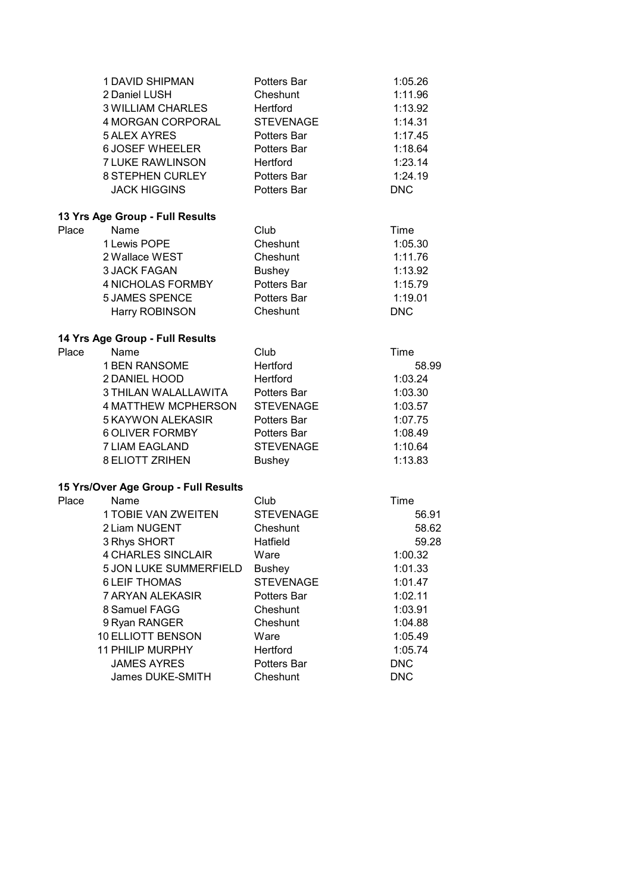|       | <b>1 DAVID SHIPMAN</b>               | Potters Bar      | 1:05.26    |
|-------|--------------------------------------|------------------|------------|
|       | 2 Daniel LUSH                        | Cheshunt         | 1:11.96    |
|       | <b>3 WILLIAM CHARLES</b>             | Hertford         | 1:13.92    |
|       | 4 MORGAN CORPORAL                    | <b>STEVENAGE</b> | 1:14.31    |
|       | <b>5 ALEX AYRES</b>                  | Potters Bar      | 1:17.45    |
|       | <b>6 JOSEF WHEELER</b>               | Potters Bar      | 1:18.64    |
|       | <b>7 LUKE RAWLINSON</b>              | Hertford         | 1:23.14    |
|       | <b>8 STEPHEN CURLEY</b>              | Potters Bar      | 1:24.19    |
|       | <b>JACK HIGGINS</b>                  | Potters Bar      | <b>DNC</b> |
|       | 13 Yrs Age Group - Full Results      |                  |            |
| Place | Name                                 | Club             | Time       |
|       | 1 Lewis POPE                         | Cheshunt         | 1:05.30    |
|       | 2 Wallace WEST                       | Cheshunt         | 1:11.76    |
|       | <b>3 JACK FAGAN</b>                  | <b>Bushey</b>    | 1:13.92    |
|       | 4 NICHOLAS FORMBY                    | Potters Bar      | 1:15.79    |
|       | <b>5 JAMES SPENCE</b>                | Potters Bar      | 1:19.01    |
|       | Harry ROBINSON                       | Cheshunt         | <b>DNC</b> |
|       | 14 Yrs Age Group - Full Results      |                  |            |
| Place | Name                                 | Club             | Time       |
|       | 1 BEN RANSOME                        | Hertford         | 58.99      |
|       | 2 DANIEL HOOD                        | Hertford         | 1:03.24    |
|       | 3 THILAN WALALLAWITA                 | Potters Bar      | 1:03.30    |
|       | <b>4 MATTHEW MCPHERSON</b>           | <b>STEVENAGE</b> | 1:03.57    |
|       | 5 KAYWON ALEKASIR                    | Potters Bar      | 1:07.75    |
|       | <b>6 OLIVER FORMBY</b>               | Potters Bar      | 1:08.49    |
|       | <b>7 LIAM EAGLAND</b>                | <b>STEVENAGE</b> | 1:10.64    |
|       | <b>8 ELIOTT ZRIHEN</b>               | <b>Bushey</b>    | 1:13.83    |
|       | 15 Yrs/Over Age Group - Full Results |                  |            |
| Place | Name                                 | Club             | Time       |
|       | <b>1 TOBIE VAN ZWEITEN</b>           | <b>STEVENAGE</b> | 56.91      |
|       | 2 Liam NUGENT                        | Cheshunt         | 58.62      |
|       | 3 Rhys SHORT                         | Hatfield         | 59.28      |
|       | <b>4 CHARLES SINCLAIR</b>            | Ware             | 1:00.32    |
|       | 5 JON LUKE SUMMERFIELD               | <b>Bushey</b>    | 1:01.33    |
|       | <b>6 LEIF THOMAS</b>                 | <b>STEVENAGE</b> | 1:01.47    |
|       | 7 ARYAN ALEKASIR                     | Potters Bar      | 1:02.11    |
|       | 8 Samuel FAGG                        | Cheshunt         | 1:03.91    |
|       | 9 Ryan RANGER                        | Cheshunt         | 1:04.88    |
|       | <b>10 ELLIOTT BENSON</b>             | Ware             | 1:05.49    |
|       | <b>11 PHILIP MURPHY</b>              | Hertford         | 1:05.74    |
|       | <b>JAMES AYRES</b>                   | Potters Bar      | <b>DNC</b> |
|       | James DUKE-SMITH                     | Cheshunt         | <b>DNC</b> |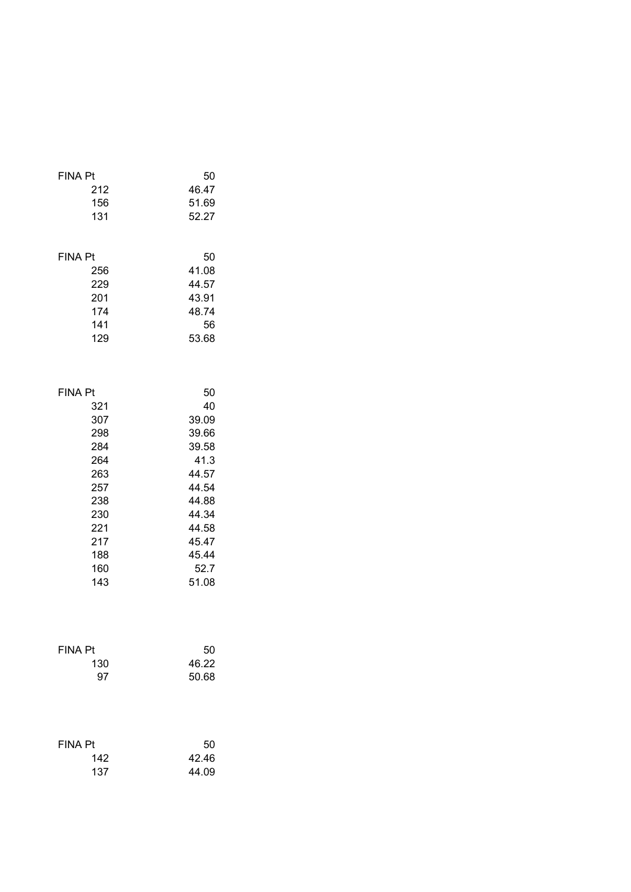| <b>FINA Pt</b> | 50    |
|----------------|-------|
| 212            | 46.47 |
| 156            | 51.69 |
| 131            | 52.27 |
| <b>FINA Pt</b> | 50    |
| 256            | 41.08 |
| 229            | 44.57 |
| 201            | 43.91 |
| 174            | 48.74 |
| 141            | 56    |
| 129            | 53.68 |
| <b>FINA Pt</b> | 50    |
| 321            | 40    |
| 307            | 39.09 |
| 298            | 39.66 |
| 284            | 39.58 |
| 264            | 41.3  |
| 263            | 44.57 |
| 257            | 44.54 |
| 238            | 44.88 |
| 230            | 44.34 |
| 221            | 44.58 |
| 217            | 45.47 |
| 188            | 45.44 |
| 160            | 52.7  |
| 143            | 51.08 |
| <b>FINA Pt</b> | 50    |
| 130            | 46.22 |
| 97             | 50.68 |
| <b>FINA Pt</b> | 50    |
| 142            | 42.46 |
| 137            | 44.09 |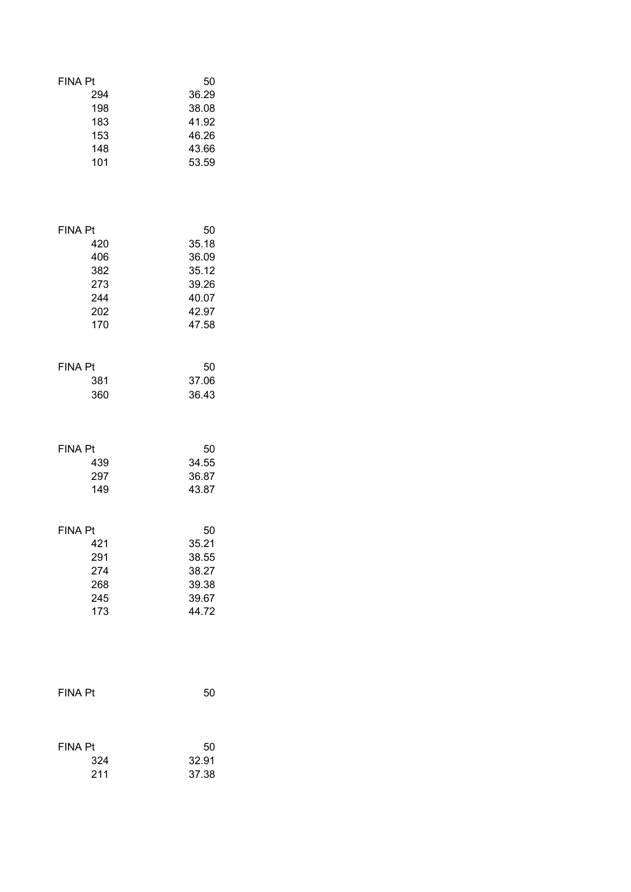| <b>FINA Pt</b> | 50    |
|----------------|-------|
| 294            | 36.29 |
| 198            | 38.08 |
| 183            | 41.92 |
| 153            | 46.26 |
| 148            | 43.66 |
| 101            | 53.59 |
| <b>FINA Pt</b> | 50    |
| 420            | 35.18 |
| 406            | 36.09 |
| 382            | 35.12 |
| 273            | 39.26 |
| 244            | 40.07 |
| 202            | 42.97 |
| 170            | 47.58 |
| <b>FINA Pt</b> | 50    |
| 381            | 37.06 |
| 360            | 36.43 |
| <b>FINA Pt</b> | 50    |
| 439            | 34.55 |
| 297            | 36.87 |
| 149            | 43.87 |
| <b>FINA Pt</b> | 50    |
| - 421          | 35.21 |
| 291            | 38.55 |
| 274            | 38.27 |
| 268            | 39.38 |
| 245            | 39.67 |
| 173            | 44.72 |
| <b>FINA Pt</b> | 50    |
| <b>FINA Pt</b> | 50    |
| 324            | 32.91 |
| 211            | 37.38 |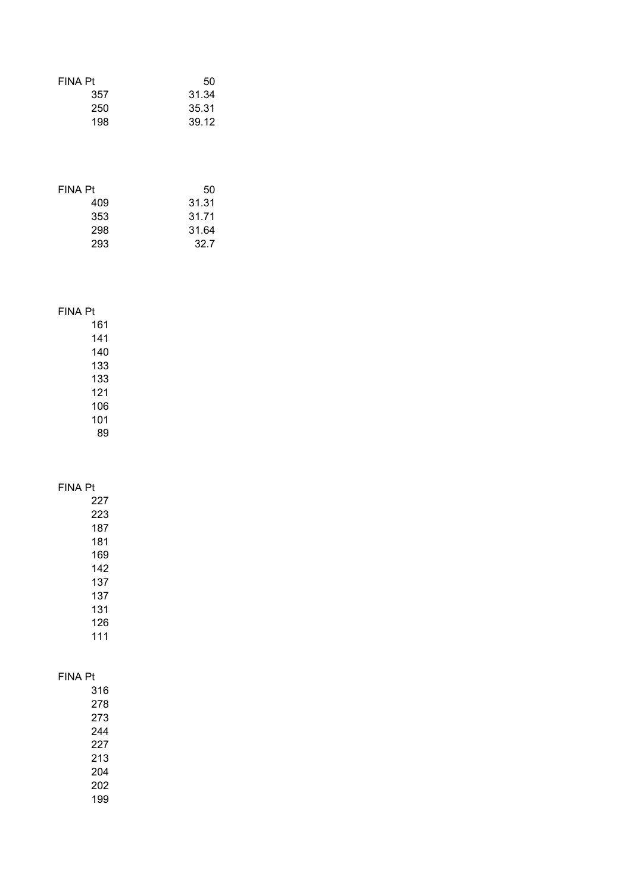| <b>FINA Pt</b> | 50    |
|----------------|-------|
| 357            | 31.34 |
| 250            | 35.31 |
| 198            | 39.12 |
|                |       |

| FINA Pt | 50    |
|---------|-------|
| 409     | 31.31 |
| 353     | 31.71 |
| 298     | 31.64 |
| 293     | 32.7  |

## FINA Pt

### FINA Pt

| 316 |
|-----|
| 278 |
| 273 |
| 244 |
| 227 |
| 213 |
| 204 |
| 202 |
| 199 |
|     |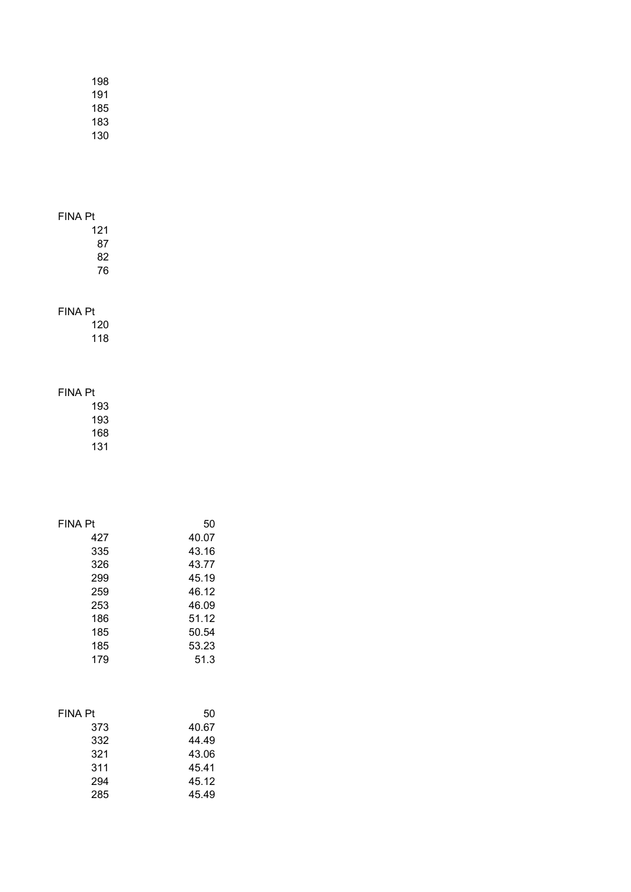| 198 |  |
|-----|--|
| 191 |  |
| 185 |  |
| 183 |  |
| 130 |  |

- 121 87
- 82 76

### FINA Pt

120 118

## FINA Pt

193 193 168

| FINA Pt | 50    |
|---------|-------|
| 427     | 40.07 |
| 335     | 43.16 |
| 326     | 43.77 |
| 299     | 45.19 |
| 259     | 46.12 |
| 253     | 46.09 |
| 186     | 51.12 |
| 185     | 50.54 |
| 185     | 53.23 |
| 179     | 51.3  |

| FINA Pt | 50    |
|---------|-------|
| 373     | 40.67 |
| 332     | 44.49 |
| 321     | 43.06 |
| 311     | 45.41 |
| 294     | 45.12 |
| 285     | 45.49 |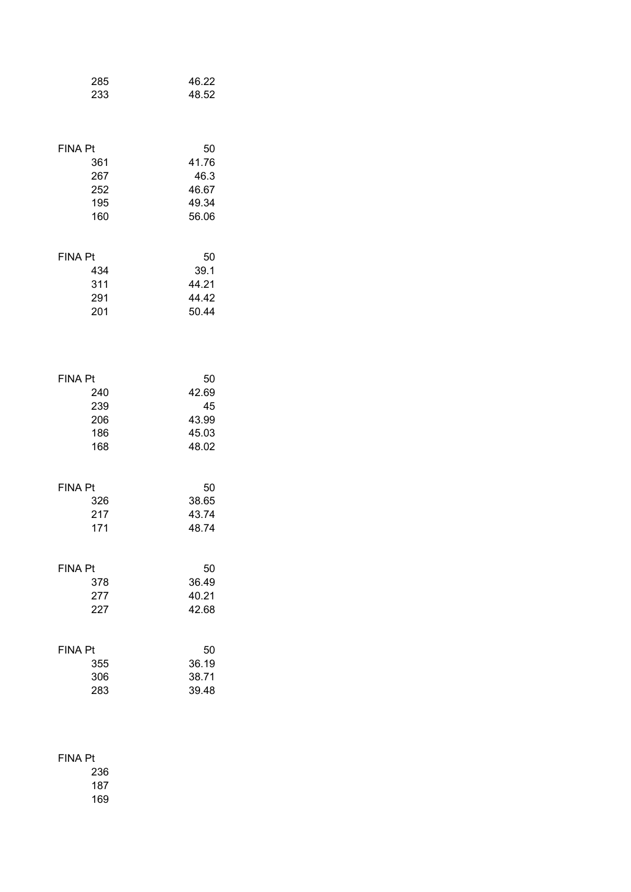| 285            | 46.22 |
|----------------|-------|
| 233            | 48.52 |
| <b>FINA Pt</b> | 50    |
| 361            | 41.76 |
| 267            | 46.3  |
| 252            | 46.67 |
| 195            | 49.34 |
| 160            | 56.06 |
| <b>FINA Pt</b> | 50    |
| 434            | 39.1  |
| 311            | 44.21 |
| 291            | 44.42 |
| 201            | 50.44 |
| <b>FINA Pt</b> | 50    |
| 240            | 42.69 |
| 239            | 45    |
| 206            | 43.99 |
| 186            | 45.03 |
| 168            | 48.02 |
| <b>FINA Pt</b> | 50    |
| 326            | 38.65 |
| 217            | 43.74 |
| 171            | 48.74 |
| <b>FINA Pt</b> | 50    |
| 378            | 36.49 |
| 277            | 40.21 |
| 227            | 42.68 |
| <b>FINA Pt</b> | 50    |
| 355            | 36.19 |
| 306            | 38.71 |
| 283            | 39.48 |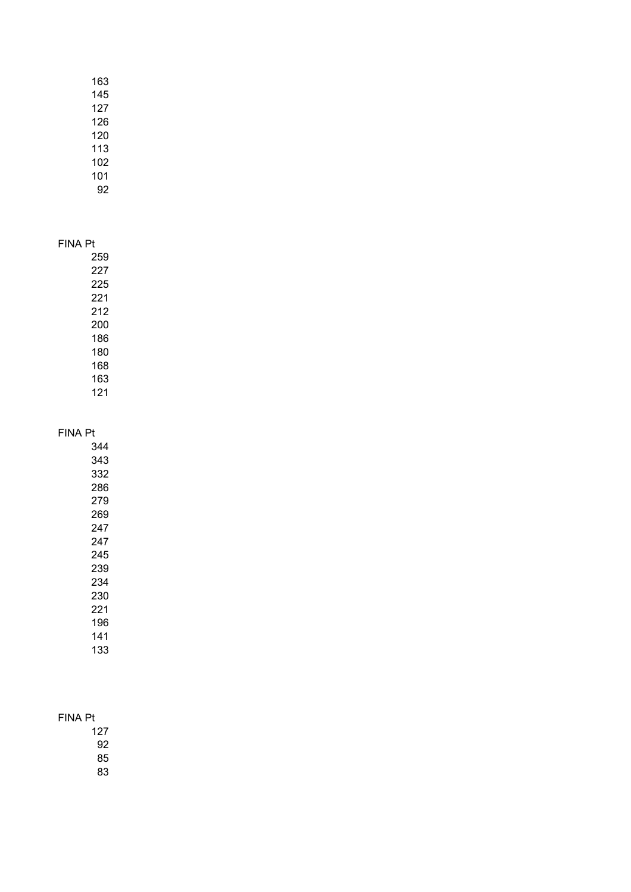## FINA Pt

#### FINA Pt

## FINA Pt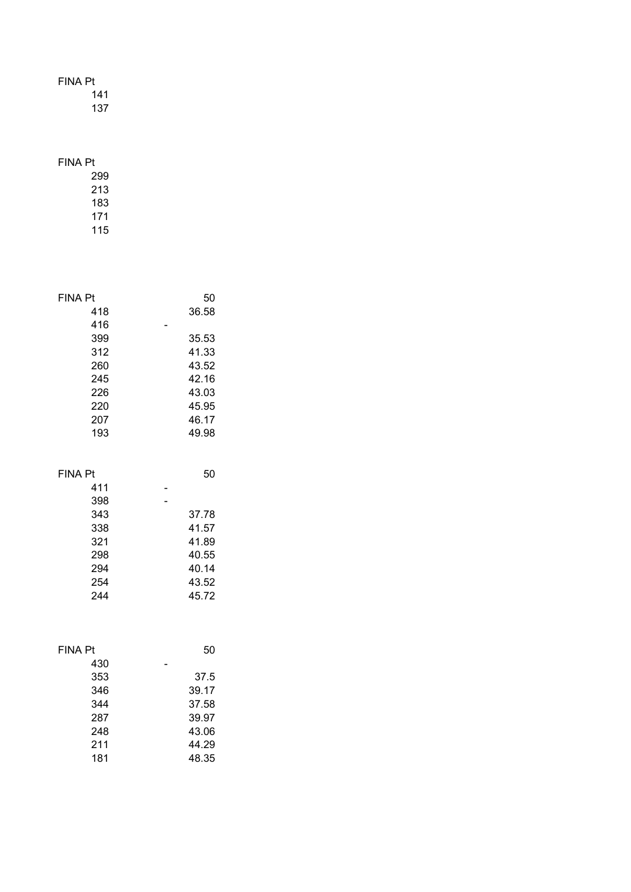141

137

## FINA Pt

| <b>FINA Pt</b> | 50    |
|----------------|-------|
| 418            | 36.58 |
| 416            |       |
| 399            | 35.53 |
| 312            | 41.33 |
| 260            | 43.52 |
| 245            | 42.16 |
| 226            | 43.03 |
| 220            | 45.95 |
| 207            | 46.17 |
| 193            | 49.98 |
|                |       |
| <b>FINA Pt</b> | 50    |
| 411            |       |
| 398            |       |
| 343            | 37.78 |
| 338            | 41.57 |
| 321            | 41.89 |
| 298            | 40.55 |
| 294            | 40.14 |
| 254            | 43.52 |
| 244            | 45.72 |
|                |       |
| <b>FINA Pt</b> | 50    |
| 430            |       |
| 353            | 37.5  |
| 346            | 39.17 |
| 344            | 37.58 |
| 287            | 39.97 |
| 248            | 43.06 |
| 211            | 44.29 |
| 181            | 48.35 |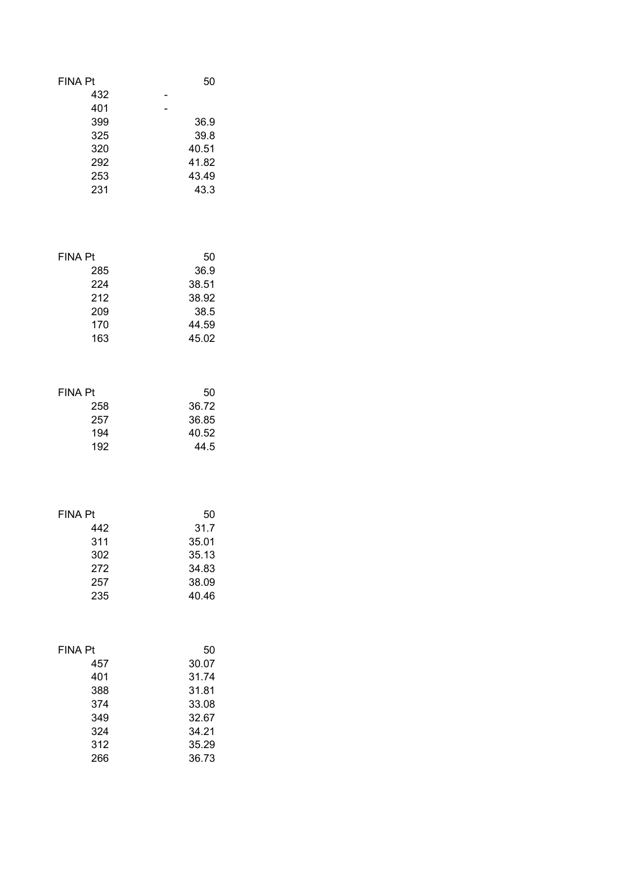| <b>FINA Pt</b><br>432                         | 50                                              |
|-----------------------------------------------|-------------------------------------------------|
| 401<br>399<br>325<br>320<br>292<br>253<br>231 | 36.9<br>39.8<br>40.51<br>41.82<br>43.49<br>43.3 |
| <b>FINA Pt</b>                                | 50                                              |
| 285                                           | 36.9                                            |
| 224                                           | 38.51                                           |
| 212                                           | 38.92                                           |
| 209                                           | 38.5                                            |
| 170                                           | 44.59                                           |
| 163                                           | 45.02                                           |
| <b>FINA Pt</b>                                | 50                                              |
| 258                                           | 36.72                                           |
| 257                                           | 36.85                                           |
| 194                                           | 40.52                                           |
| 192                                           | 44.5                                            |
| <b>FINA Pt</b>                                | 50                                              |
| 442                                           | 31.7                                            |
| 311                                           | 35.01                                           |
| 302                                           | 35.13                                           |
| 272                                           | 34.83                                           |
| 257                                           | 38.09                                           |
| 235                                           | 40.46                                           |
| <b>FINA Pt</b>                                | 50                                              |
| 457                                           | 30.07                                           |
| 401                                           | 31.74                                           |
| 388                                           | 31.81                                           |
| 374                                           | 33.08                                           |
| 349                                           | 32.67                                           |
| 324                                           | 34.21                                           |
| 312                                           | 35.29                                           |
| 266                                           | 36.73                                           |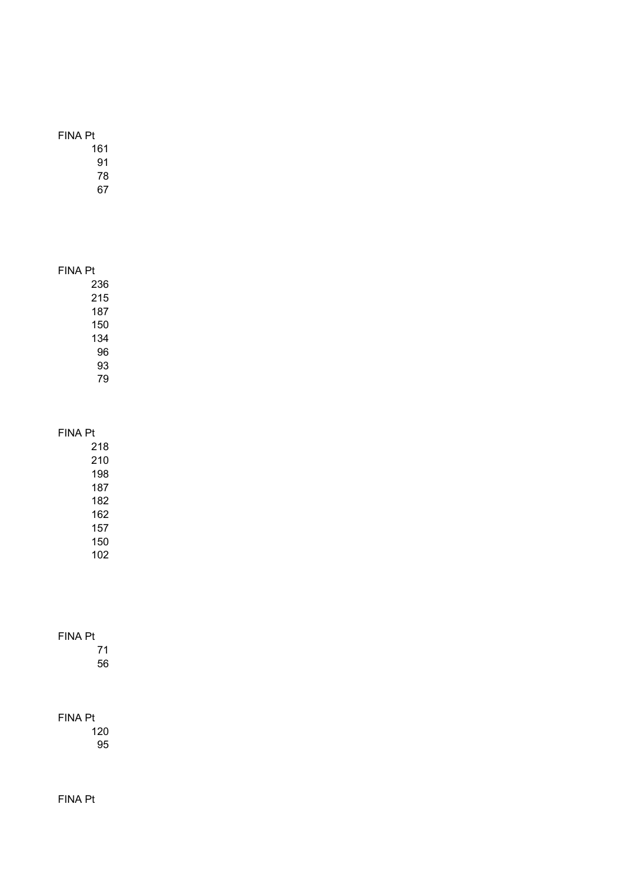### FINA Pt

#### FINA Pt

## FINA Pt

 

## FINA Pt

FINA Pt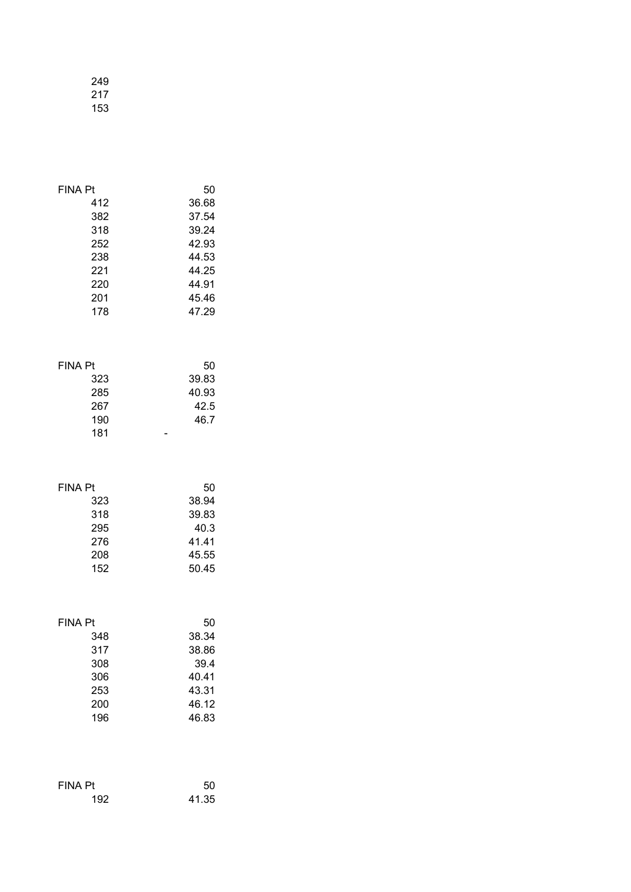| 249 |  |
|-----|--|
| 217 |  |
| 153 |  |

| <b>FINA Pt</b>                                    | 50                                   |
|---------------------------------------------------|--------------------------------------|
| 412                                               | 36.68                                |
| 382                                               | 37.54                                |
| 318                                               | 39.24                                |
| 252                                               | 42.93                                |
| 238                                               | 44.53                                |
| 221                                               | 44.25                                |
| 220                                               | 44.91                                |
| 201                                               | 45.46                                |
| 178                                               | 47.29                                |
| <b>FINA Pt</b><br>323<br>285<br>267<br>190<br>181 | 50<br>39.83<br>40.93<br>42.5<br>46.7 |
| <b>FINA Pt</b>                                    | 50                                   |
| 323                                               | 38.94                                |
| 318                                               | 39.83                                |
| 295                                               | 40.3                                 |
| 276                                               | 41.41                                |
| 208                                               | 45.55                                |
| 152                                               | 50.45                                |
| <b>FINA Pt</b>                                    | 50                                   |
| 348                                               | 38.34                                |
| 317                                               | 38.86                                |
| 308                                               | 39.4                                 |
| 306                                               | 40.41                                |
| 253                                               | 43.31                                |
| 200                                               | 46.12                                |
| 196                                               | 46.83                                |
| <b>FINA Pt</b>                                    | 50                                   |
| 192                                               | 41.35                                |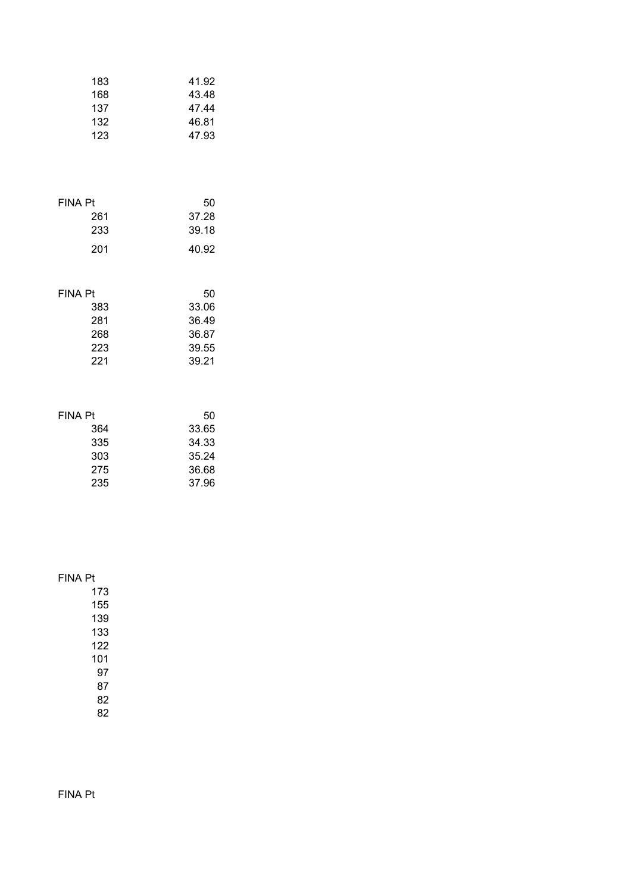| 183 | 41.92 |
|-----|-------|
| 168 | 43.48 |
| 137 | 47.44 |
| 132 | 46.81 |
| 123 | 47.93 |

| FINA Pt | 50    |
|---------|-------|
| 261     | 37.28 |
| 233     | 39.18 |
| 201     | 40.92 |

| FINA Pt | 50    |
|---------|-------|
| 383     | 33.06 |
| 281     | 36.49 |
| 268     | 36.87 |
| 223     | 39.55 |
| 221     | 39.21 |

| FINA Pt | 50    |
|---------|-------|
| 364     | 33.65 |
| 335     | 34.33 |
| 303     | 35.24 |
| 275     | 36.68 |
| 235     | 37.96 |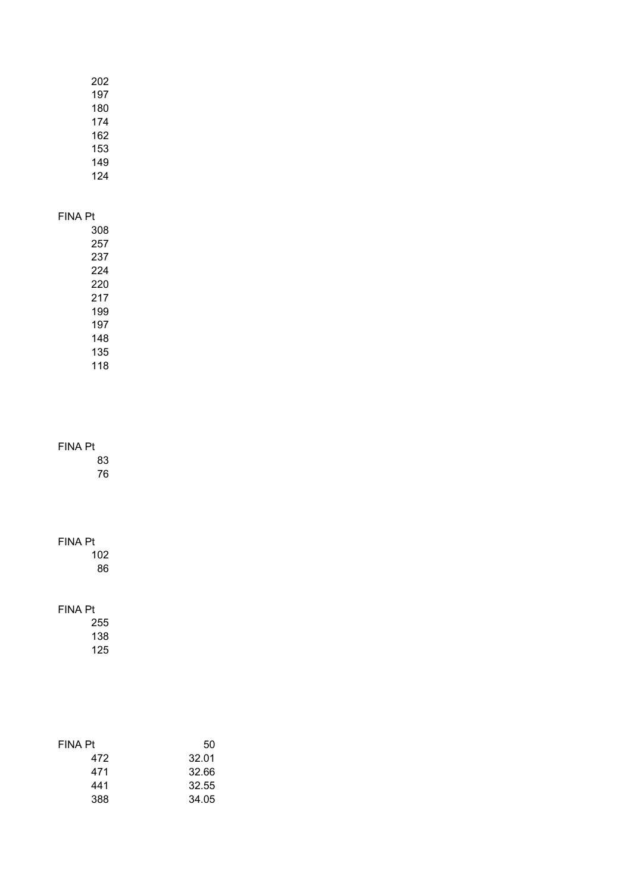| 202 |
|-----|
| 197 |
| 180 |
| 174 |
| 162 |
| 153 |
| 149 |
| 124 |

## FINA Pt

 

## FINA Pt

 

## FINA Pt

| <b>FINA Pt</b> | 50    |
|----------------|-------|
| 472            | 32.01 |
| 471            | 32.66 |
| 441            | 32.55 |
| 388            | 34.05 |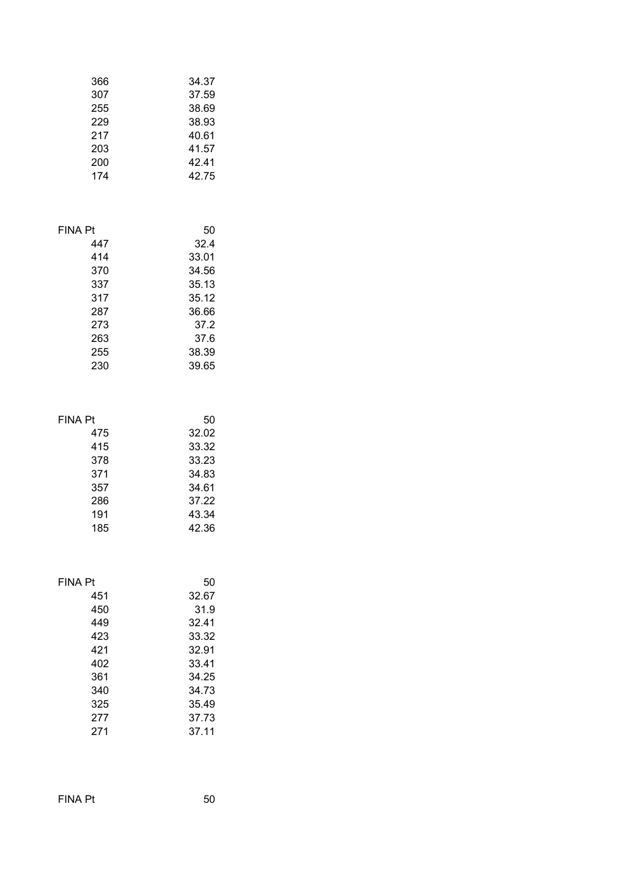| 366 | 34.37 |
|-----|-------|
| 307 | 37.59 |
| 255 | 38.69 |
| 229 | 38.93 |
| 217 | 40.61 |
| 203 | 41.57 |
| 200 | 42.41 |
| 174 | 42.75 |

| 447 | 32.4  |
|-----|-------|
| 414 | 33.01 |
| 370 | 34.56 |
| 337 | 35.13 |
| 317 | 35.12 |
| 287 | 36.66 |
| 273 | 37.2  |
| 263 | 37.6  |
| 255 | 38.39 |
| 230 | 39.65 |

#### FINA Pt 50

| 475 | 32.02 |
|-----|-------|
| 415 | 33.32 |
| 378 | 33.23 |
| 371 | 34.83 |
| 357 | 34.61 |
| 286 | 37.22 |
| 191 | 43.34 |
| 185 | 42.36 |
|     |       |

#### FINA Pt 50

| 451 | 32.67 |
|-----|-------|
| 450 | 31.9  |
| 449 | 32.41 |
| 423 | 33.32 |
| 421 | 32.91 |
| 402 | 33.41 |
| 361 | 34.25 |
| 340 | 34.73 |
| 325 | 35.49 |
| 277 | 37.73 |
| 271 | 37.11 |